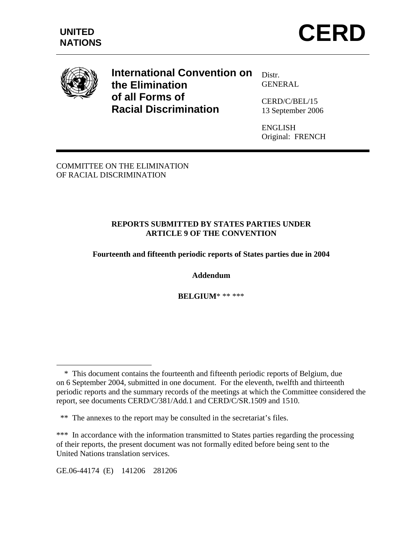





 $\overline{a}$ 

**International Convention on the Elimination of all Forms of Racial Discrimination** 

Distr. GENERAL

CERD/C/BEL/15 13 September 2006

ENGLISH Original: FRENCH

COMMITTEE ON THE ELIMINATION OF RACIAL DISCRIMINATION

#### **REPORTS SUBMITTED BY STATES PARTIES UNDER ARTICLE 9 OF THE CONVENTION**

#### **Fourteenth and fifteenth periodic reports of States parties due in 2004**

#### **Addendum**

**BELGIUM**\* \*\* \*\*\*

GE.06-44174 (E) 141206 281206

 <sup>\*</sup> This document contains the fourteenth and fifteenth periodic reports of Belgium, due on 6 September 2004, submitted in one document. For the eleventh, twelfth and thirteenth periodic reports and the summary records of the meetings at which the Committee considered the report, see documents CERD/C/381/Add.1 and CERD/C/SR.1509 and 1510.

 <sup>\*\*</sup> The annexes to the report may be consulted in the secretariat's files.

<sup>\*\*\*</sup> In accordance with the information transmitted to States parties regarding the processing of their reports, the present document was not formally edited before being sent to the United Nations translation services.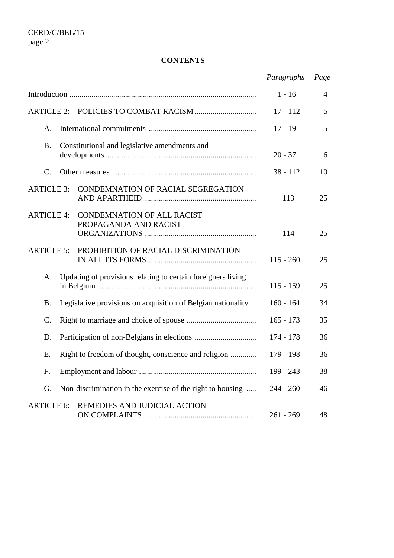### **CONTENTS**

|                   |                                               |                                                              | Paragraphs  | Page |
|-------------------|-----------------------------------------------|--------------------------------------------------------------|-------------|------|
|                   |                                               |                                                              | $1 - 16$    | 4    |
| <b>ARTICLE 2:</b> |                                               |                                                              | $17 - 112$  | 5    |
| A.                |                                               |                                                              | $17 - 19$   | 5    |
| <b>B.</b>         | Constitutional and legislative amendments and |                                                              | $20 - 37$   | 6    |
| C.                |                                               |                                                              | $38 - 112$  | 10   |
| <b>ARTICLE 3:</b> |                                               | CONDEMNATION OF RACIAL SEGREGATION                           | 113         | 25   |
| <b>ARTICLE 4:</b> |                                               | <b>CONDEMNATION OF ALL RACIST</b><br>PROPAGANDA AND RACIST   | 114         | 25   |
| <b>ARTICLE 5:</b> |                                               | PROHIBITION OF RACIAL DISCRIMINATION                         | $115 - 260$ | 25   |
| А.                |                                               | Updating of provisions relating to certain foreigners living | $115 - 159$ | 25   |
| <b>B.</b>         |                                               | Legislative provisions on acquisition of Belgian nationality | $160 - 164$ | 34   |
| $\mathcal{C}$ .   |                                               |                                                              | $165 - 173$ | 35   |
| D.                |                                               |                                                              | 174 - 178   | 36   |
| E.                |                                               | Right to freedom of thought, conscience and religion         | 179 - 198   | 36   |
| F.                |                                               |                                                              | 199 - 243   | 38   |
| G.                |                                               | Non-discrimination in the exercise of the right to housing   | $244 - 260$ | 46   |
| <b>ARTICLE 6:</b> |                                               | REMEDIES AND JUDICIAL ACTION                                 | $261 - 269$ | 48   |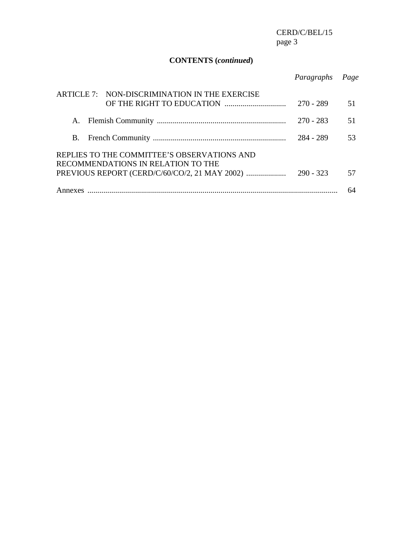# **CONTENTS (***continued***)**

|                                                                                   | Paragraphs  | Page |  |
|-----------------------------------------------------------------------------------|-------------|------|--|
| ARTICLE 7: NON-DISCRIMINATION IN THE EXERCISE                                     | $270 - 289$ | 51   |  |
|                                                                                   | $270 - 283$ | 51   |  |
|                                                                                   | 284 - 289   | 53   |  |
| REPLIES TO THE COMMITTEE'S OBSERVATIONS AND<br>RECOMMENDATIONS IN RELATION TO THE |             |      |  |
| PREVIOUS REPORT (CERD/C/60/CO/2, 21 MAY 2002)<br>$290 - 323$                      |             |      |  |
|                                                                                   |             |      |  |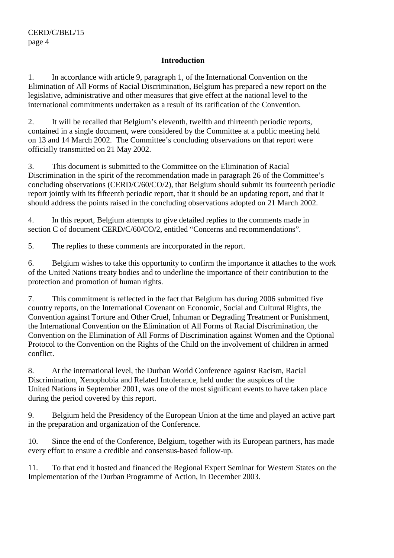#### **Introduction**

1. In accordance with article 9, paragraph 1, of the International Convention on the Elimination of All Forms of Racial Discrimination, Belgium has prepared a new report on the legislative, administrative and other measures that give effect at the national level to the international commitments undertaken as a result of its ratification of the Convention.

2. It will be recalled that Belgium's eleventh, twelfth and thirteenth periodic reports, contained in a single document, were considered by the Committee at a public meeting held on 13 and 14 March 2002. The Committee's concluding observations on that report were officially transmitted on 21 May 2002.

3. This document is submitted to the Committee on the Elimination of Racial Discrimination in the spirit of the recommendation made in paragraph 26 of the Committee's concluding observations (CERD/C/60/CO/2), that Belgium should submit its fourteenth periodic report jointly with its fifteenth periodic report, that it should be an updating report, and that it should address the points raised in the concluding observations adopted on 21 March 2002.

4. In this report, Belgium attempts to give detailed replies to the comments made in section C of document CERD/C/60/CO/2, entitled "Concerns and recommendations".

5. The replies to these comments are incorporated in the report.

6. Belgium wishes to take this opportunity to confirm the importance it attaches to the work of the United Nations treaty bodies and to underline the importance of their contribution to the protection and promotion of human rights.

7. This commitment is reflected in the fact that Belgium has during 2006 submitted five country reports, on the International Covenant on Economic, Social and Cultural Rights, the Convention against Torture and Other Cruel, Inhuman or Degrading Treatment or Punishment, the International Convention on the Elimination of All Forms of Racial Discrimination, the Convention on the Elimination of All Forms of Discrimination against Women and the Optional Protocol to the Convention on the Rights of the Child on the involvement of children in armed conflict.

8. At the international level, the Durban World Conference against Racism, Racial Discrimination, Xenophobia and Related Intolerance, held under the auspices of the United Nations in September 2001, was one of the most significant events to have taken place during the period covered by this report.

9. Belgium held the Presidency of the European Union at the time and played an active part in the preparation and organization of the Conference.

10. Since the end of the Conference, Belgium, together with its European partners, has made every effort to ensure a credible and consensus-based follow-up.

11. To that end it hosted and financed the Regional Expert Seminar for Western States on the Implementation of the Durban Programme of Action, in December 2003.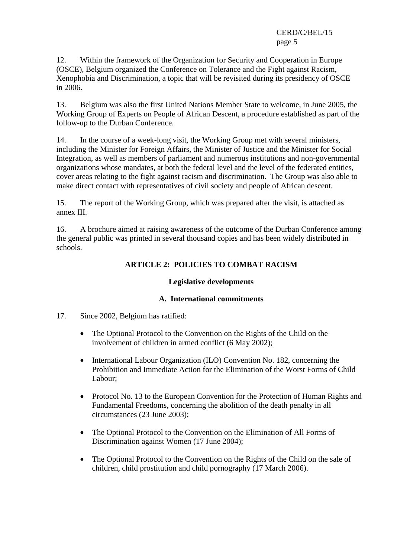12. Within the framework of the Organization for Security and Cooperation in Europe (OSCE), Belgium organized the Conference on Tolerance and the Fight against Racism, Xenophobia and Discrimination, a topic that will be revisited during its presidency of OSCE in 2006.

13. Belgium was also the first United Nations Member State to welcome, in June 2005, the Working Group of Experts on People of African Descent, a procedure established as part of the follow-up to the Durban Conference.

14. In the course of a week-long visit, the Working Group met with several ministers, including the Minister for Foreign Affairs, the Minister of Justice and the Minister for Social Integration, as well as members of parliament and numerous institutions and non-governmental organizations whose mandates, at both the federal level and the level of the federated entities, cover areas relating to the fight against racism and discrimination. The Group was also able to make direct contact with representatives of civil society and people of African descent.

15. The report of the Working Group, which was prepared after the visit, is attached as annex III.

16. A brochure aimed at raising awareness of the outcome of the Durban Conference among the general public was printed in several thousand copies and has been widely distributed in schools.

# **ARTICLE 2: POLICIES TO COMBAT RACISM**

### **Legislative developments**

### **A. International commitments**

- 17. Since 2002, Belgium has ratified:
	- The Optional Protocol to the Convention on the Rights of the Child on the involvement of children in armed conflict (6 May 2002);
	- International Labour Organization (ILO) Convention No. 182, concerning the Prohibition and Immediate Action for the Elimination of the Worst Forms of Child Labour;
	- Protocol No. 13 to the European Convention for the Protection of Human Rights and Fundamental Freedoms, concerning the abolition of the death penalty in all circumstances (23 June 2003);
	- The Optional Protocol to the Convention on the Elimination of All Forms of Discrimination against Women (17 June 2004);
	- The Optional Protocol to the Convention on the Rights of the Child on the sale of children, child prostitution and child pornography (17 March 2006).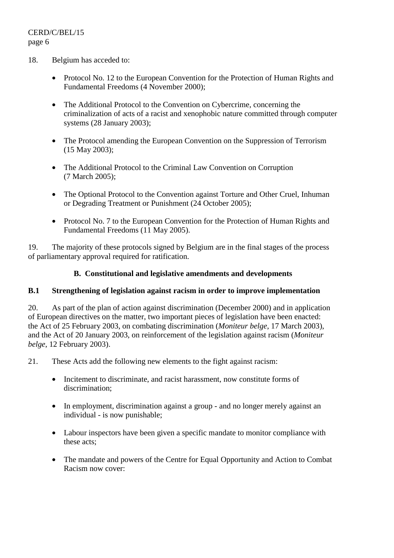- 18. Belgium has acceded to:
	- Protocol No. 12 to the European Convention for the Protection of Human Rights and Fundamental Freedoms (4 November 2000);
	- The Additional Protocol to the Convention on Cybercrime, concerning the criminalization of acts of a racist and xenophobic nature committed through computer systems (28 January 2003);
	- The Protocol amending the European Convention on the Suppression of Terrorism (15 May 2003);
	- The Additional Protocol to the Criminal Law Convention on Corruption (7 March 2005);
	- The Optional Protocol to the Convention against Torture and Other Cruel, Inhuman or Degrading Treatment or Punishment (24 October 2005);
	- Protocol No. 7 to the European Convention for the Protection of Human Rights and Fundamental Freedoms (11 May 2005).

19. The majority of these protocols signed by Belgium are in the final stages of the process of parliamentary approval required for ratification.

### **B. Constitutional and legislative amendments and developments**

### **B.1 Strengthening of legislation against racism in order to improve implementation**

20. As part of the plan of action against discrimination (December 2000) and in application of European directives on the matter, two important pieces of legislation have been enacted: the Act of 25 February 2003, on combating discrimination (*Moniteur belge*, 17 March 2003), and the Act of 20 January 2003, on reinforcement of the legislation against racism (*Moniteur belge*, 12 February 2003).

- 21. These Acts add the following new elements to the fight against racism:
	- Incitement to discriminate, and racist harassment, now constitute forms of discrimination;
	- In employment, discrimination against a group and no longer merely against an individual - is now punishable;
	- Labour inspectors have been given a specific mandate to monitor compliance with these acts;
	- The mandate and powers of the Centre for Equal Opportunity and Action to Combat Racism now cover: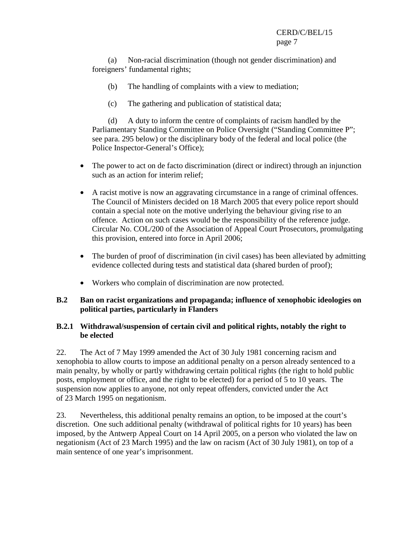(a) Non-racial discrimination (though not gender discrimination) and foreigners' fundamental rights;

- (b) The handling of complaints with a view to mediation;
- (c) The gathering and publication of statistical data;

(d) A duty to inform the centre of complaints of racism handled by the Parliamentary Standing Committee on Police Oversight ("Standing Committee P"; see para. 295 below) or the disciplinary body of the federal and local police (the Police Inspector-General's Office);

- The power to act on de facto discrimination (direct or indirect) through an injunction such as an action for interim relief;
- A racist motive is now an aggravating circumstance in a range of criminal offences. The Council of Ministers decided on 18 March 2005 that every police report should contain a special note on the motive underlying the behaviour giving rise to an offence. Action on such cases would be the responsibility of the reference judge. Circular No. COL/200 of the Association of Appeal Court Prosecutors, promulgating this provision, entered into force in April 2006;
- The burden of proof of discrimination (in civil cases) has been alleviated by admitting evidence collected during tests and statistical data (shared burden of proof);
- Workers who complain of discrimination are now protected.

### **B.2 Ban on racist organizations and propaganda; influence of xenophobic ideologies on political parties, particularly in Flanders**

### **B.2.1 Withdrawal/suspension of certain civil and political rights, notably the right to be elected**

22. The Act of 7 May 1999 amended the Act of 30 July 1981 concerning racism and xenophobia to allow courts to impose an additional penalty on a person already sentenced to a main penalty, by wholly or partly withdrawing certain political rights (the right to hold public posts, employment or office, and the right to be elected) for a period of 5 to 10 years. The suspension now applies to anyone, not only repeat offenders, convicted under the Act of 23 March 1995 on negationism.

23. Nevertheless, this additional penalty remains an option, to be imposed at the court's discretion. One such additional penalty (withdrawal of political rights for 10 years) has been imposed, by the Antwerp Appeal Court on 14 April 2005, on a person who violated the law on negationism (Act of 23 March 1995) and the law on racism (Act of 30 July 1981), on top of a main sentence of one year's imprisonment.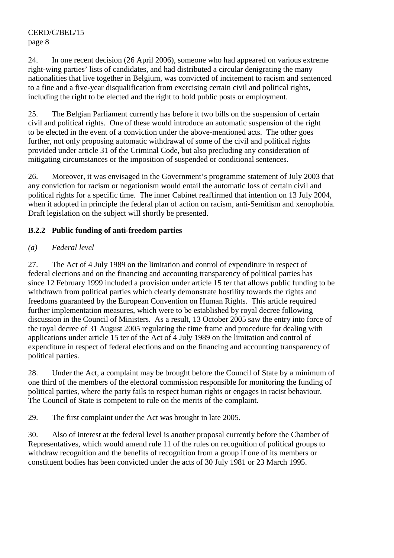24. In one recent decision (26 April 2006), someone who had appeared on various extreme right-wing parties' lists of candidates, and had distributed a circular denigrating the many nationalities that live together in Belgium, was convicted of incitement to racism and sentenced to a fine and a five-year disqualification from exercising certain civil and political rights, including the right to be elected and the right to hold public posts or employment.

25. The Belgian Parliament currently has before it two bills on the suspension of certain civil and political rights. One of these would introduce an automatic suspension of the right to be elected in the event of a conviction under the above-mentioned acts. The other goes further, not only proposing automatic withdrawal of some of the civil and political rights provided under article 31 of the Criminal Code, but also precluding any consideration of mitigating circumstances or the imposition of suspended or conditional sentences.

26. Moreover, it was envisaged in the Government's programme statement of July 2003 that any conviction for racism or negationism would entail the automatic loss of certain civil and political rights for a specific time. The inner Cabinet reaffirmed that intention on 13 July 2004, when it adopted in principle the federal plan of action on racism, anti-Semitism and xenophobia. Draft legislation on the subject will shortly be presented.

# **B.2.2 Public funding of anti-freedom parties**

# *(a) Federal level*

27. The Act of 4 July 1989 on the limitation and control of expenditure in respect of federal elections and on the financing and accounting transparency of political parties has since 12 February 1999 included a provision under article 15 ter that allows public funding to be withdrawn from political parties which clearly demonstrate hostility towards the rights and freedoms guaranteed by the European Convention on Human Rights. This article required further implementation measures, which were to be established by royal decree following discussion in the Council of Ministers. As a result, 13 October 2005 saw the entry into force of the royal decree of 31 August 2005 regulating the time frame and procedure for dealing with applications under article 15 ter of the Act of 4 July 1989 on the limitation and control of expenditure in respect of federal elections and on the financing and accounting transparency of political parties.

28. Under the Act, a complaint may be brought before the Council of State by a minimum of one third of the members of the electoral commission responsible for monitoring the funding of political parties, where the party fails to respect human rights or engages in racist behaviour. The Council of State is competent to rule on the merits of the complaint.

29. The first complaint under the Act was brought in late 2005.

30. Also of interest at the federal level is another proposal currently before the Chamber of Representatives, which would amend rule 11 of the rules on recognition of political groups to withdraw recognition and the benefits of recognition from a group if one of its members or constituent bodies has been convicted under the acts of 30 July 1981 or 23 March 1995.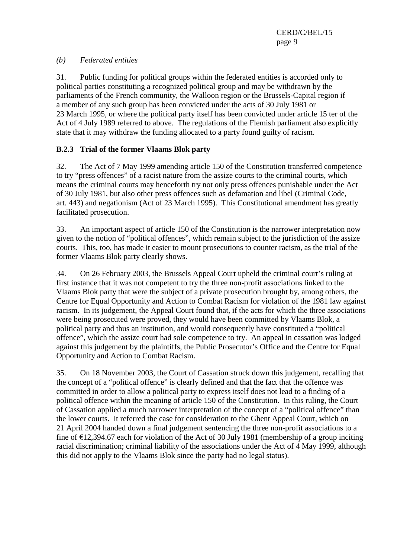### *(b) Federated entities*

31. Public funding for political groups within the federated entities is accorded only to political parties constituting a recognized political group and may be withdrawn by the parliaments of the French community, the Walloon region or the Brussels-Capital region if a member of any such group has been convicted under the acts of 30 July 1981 or 23 March 1995, or where the political party itself has been convicted under article 15 ter of the Act of 4 July 1989 referred to above. The regulations of the Flemish parliament also explicitly state that it may withdraw the funding allocated to a party found guilty of racism.

### **B.2.3 Trial of the former Vlaams Blok party**

32. The Act of 7 May 1999 amending article 150 of the Constitution transferred competence to try "press offences" of a racist nature from the assize courts to the criminal courts, which means the criminal courts may henceforth try not only press offences punishable under the Act of 30 July 1981, but also other press offences such as defamation and libel (Criminal Code, art. 443) and negationism (Act of 23 March 1995). This Constitutional amendment has greatly facilitated prosecution.

33. An important aspect of article 150 of the Constitution is the narrower interpretation now given to the notion of "political offences", which remain subject to the jurisdiction of the assize courts. This, too, has made it easier to mount prosecutions to counter racism, as the trial of the former Vlaams Blok party clearly shows.

34. On 26 February 2003, the Brussels Appeal Court upheld the criminal court's ruling at first instance that it was not competent to try the three non-profit associations linked to the Vlaams Blok party that were the subject of a private prosecution brought by, among others, the Centre for Equal Opportunity and Action to Combat Racism for violation of the 1981 law against racism. In its judgement, the Appeal Court found that, if the acts for which the three associations were being prosecuted were proved, they would have been committed by Vlaams Blok, a political party and thus an institution, and would consequently have constituted a "political offence", which the assize court had sole competence to try. An appeal in cassation was lodged against this judgement by the plaintiffs, the Public Prosecutor's Office and the Centre for Equal Opportunity and Action to Combat Racism.

35. On 18 November 2003, the Court of Cassation struck down this judgement, recalling that the concept of a "political offence" is clearly defined and that the fact that the offence was committed in order to allow a political party to express itself does not lead to a finding of a political offence within the meaning of article 150 of the Constitution. In this ruling, the Court of Cassation applied a much narrower interpretation of the concept of a "political offence" than the lower courts. It referred the case for consideration to the Ghent Appeal Court, which on 21 April 2004 handed down a final judgement sentencing the three non-profit associations to a fine of €12,394.67 each for violation of the Act of 30 July 1981 (membership of a group inciting racial discrimination; criminal liability of the associations under the Act of 4 May 1999, although this did not apply to the Vlaams Blok since the party had no legal status).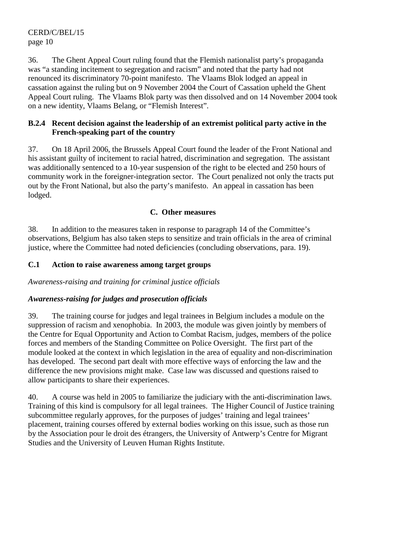36. The Ghent Appeal Court ruling found that the Flemish nationalist party's propaganda was "a standing incitement to segregation and racism" and noted that the party had not renounced its discriminatory 70-point manifesto. The Vlaams Blok lodged an appeal in cassation against the ruling but on 9 November 2004 the Court of Cassation upheld the Ghent Appeal Court ruling. The Vlaams Blok party was then dissolved and on 14 November 2004 took on a new identity, Vlaams Belang, or "Flemish Interest".

#### **B.2.4 Recent decision against the leadership of an extremist political party active in the French-speaking part of the country**

37. On 18 April 2006, the Brussels Appeal Court found the leader of the Front National and his assistant guilty of incitement to racial hatred, discrimination and segregation. The assistant was additionally sentenced to a 10-year suspension of the right to be elected and 250 hours of community work in the foreigner-integration sector. The Court penalized not only the tracts put out by the Front National, but also the party's manifesto. An appeal in cassation has been lodged.

### **C. Other measures**

38. In addition to the measures taken in response to paragraph 14 of the Committee's observations, Belgium has also taken steps to sensitize and train officials in the area of criminal justice, where the Committee had noted deficiencies (concluding observations, para. 19).

### **C.1 Action to raise awareness among target groups**

*Awareness-raising and training for criminal justice officials* 

# *Awareness-raising for judges and prosecution officials*

39. The training course for judges and legal trainees in Belgium includes a module on the suppression of racism and xenophobia. In 2003, the module was given jointly by members of the Centre for Equal Opportunity and Action to Combat Racism, judges, members of the police forces and members of the Standing Committee on Police Oversight. The first part of the module looked at the context in which legislation in the area of equality and non-discrimination has developed. The second part dealt with more effective ways of enforcing the law and the difference the new provisions might make. Case law was discussed and questions raised to allow participants to share their experiences.

40. A course was held in 2005 to familiarize the judiciary with the anti-discrimination laws. Training of this kind is compulsory for all legal trainees. The Higher Council of Justice training subcommittee regularly approves, for the purposes of judges' training and legal trainees' placement, training courses offered by external bodies working on this issue, such as those run by the Association pour le droit des étrangers, the University of Antwerp's Centre for Migrant Studies and the University of Leuven Human Rights Institute.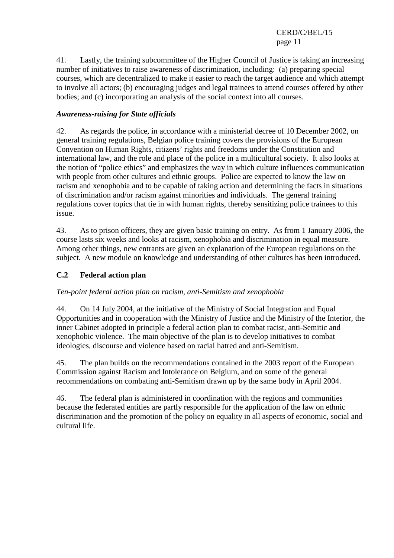41. Lastly, the training subcommittee of the Higher Council of Justice is taking an increasing number of initiatives to raise awareness of discrimination, including: (a) preparing special courses, which are decentralized to make it easier to reach the target audience and which attempt to involve all actors; (b) encouraging judges and legal trainees to attend courses offered by other bodies; and (c) incorporating an analysis of the social context into all courses.

### *Awareness-raising for State officials*

42. As regards the police, in accordance with a ministerial decree of 10 December 2002, on general training regulations, Belgian police training covers the provisions of the European Convention on Human Rights, citizens' rights and freedoms under the Constitution and international law, and the role and place of the police in a multicultural society. It also looks at the notion of "police ethics" and emphasizes the way in which culture influences communication with people from other cultures and ethnic groups. Police are expected to know the law on racism and xenophobia and to be capable of taking action and determining the facts in situations of discrimination and/or racism against minorities and individuals. The general training regulations cover topics that tie in with human rights, thereby sensitizing police trainees to this issue.

43. As to prison officers, they are given basic training on entry. As from 1 January 2006, the course lasts six weeks and looks at racism, xenophobia and discrimination in equal measure. Among other things, new entrants are given an explanation of the European regulations on the subject. A new module on knowledge and understanding of other cultures has been introduced.

### **C.2 Federal action plan**

### *Ten-point federal action plan on racism, anti-Semitism and xenophobia*

44. On 14 July 2004, at the initiative of the Ministry of Social Integration and Equal Opportunities and in cooperation with the Ministry of Justice and the Ministry of the Interior, the inner Cabinet adopted in principle a federal action plan to combat racist, anti-Semitic and xenophobic violence. The main objective of the plan is to develop initiatives to combat ideologies, discourse and violence based on racial hatred and anti-Semitism.

45. The plan builds on the recommendations contained in the 2003 report of the European Commission against Racism and Intolerance on Belgium, and on some of the general recommendations on combating anti-Semitism drawn up by the same body in April 2004.

46. The federal plan is administered in coordination with the regions and communities because the federated entities are partly responsible for the application of the law on ethnic discrimination and the promotion of the policy on equality in all aspects of economic, social and cultural life.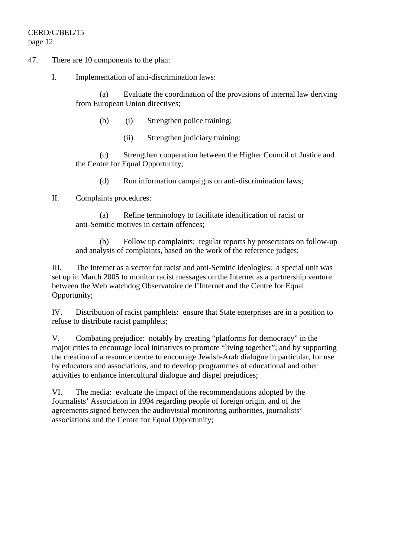- 47. There are 10 components to the plan:
	- I. Implementation of anti-discrimination laws:

(a) Evaluate the coordination of the provisions of internal law deriving from European Union directives;

- (b) (i) Strengthen police training;
	- (ii) Strengthen judiciary training;

(c) Strengthen cooperation between the Higher Council of Justice and the Centre for Equal Opportunity;

- (d) Run information campaigns on anti-discrimination laws;
- II. Complaints procedures:

(a) Refine terminology to facilitate identification of racist or anti-Semitic motives in certain offences;

(b) Follow up complaints: regular reports by prosecutors on follow-up and analysis of complaints, based on the work of the reference judges;

III. The Internet as a vector for racist and anti-Semitic ideologies: a special unit was set up in March 2005 to monitor racist messages on the Internet as a partnership venture between the Web watchdog Observatoire de l'Internet and the Centre for Equal Opportunity;

IV. Distribution of racist pamphlets: ensure that State enterprises are in a position to refuse to distribute racist pamphlets;

V. Combating prejudice: notably by creating "platforms for democracy" in the major cities to encourage local initiatives to promote "living together"; and by supporting the creation of a resource centre to encourage Jewish-Arab dialogue in particular, for use by educators and associations, and to develop programmes of educational and other activities to enhance intercultural dialogue and dispel prejudices;

VI. The media: evaluate the impact of the recommendations adopted by the Journalists' Association in 1994 regarding people of foreign origin, and of the agreements signed between the audiovisual monitoring authorities, journalists' associations and the Centre for Equal Opportunity;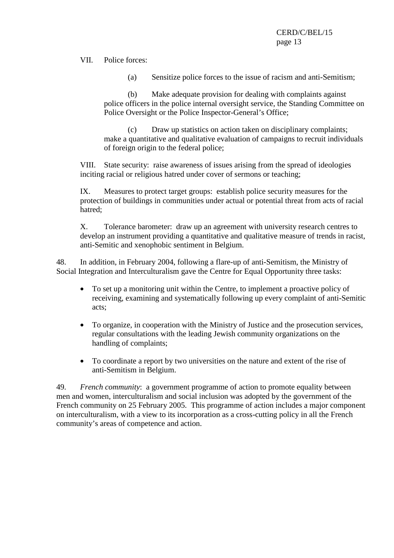VII. Police forces:

(a) Sensitize police forces to the issue of racism and anti-Semitism;

(b) Make adequate provision for dealing with complaints against police officers in the police internal oversight service, the Standing Committee on Police Oversight or the Police Inspector-General's Office;

(c) Draw up statistics on action taken on disciplinary complaints; make a quantitative and qualitative evaluation of campaigns to recruit individuals of foreign origin to the federal police;

VIII. State security: raise awareness of issues arising from the spread of ideologies inciting racial or religious hatred under cover of sermons or teaching;

IX. Measures to protect target groups: establish police security measures for the protection of buildings in communities under actual or potential threat from acts of racial hatred;

X. Tolerance barometer: draw up an agreement with university research centres to develop an instrument providing a quantitative and qualitative measure of trends in racist, anti-Semitic and xenophobic sentiment in Belgium.

48. In addition, in February 2004, following a flare-up of anti-Semitism, the Ministry of Social Integration and Interculturalism gave the Centre for Equal Opportunity three tasks:

- To set up a monitoring unit within the Centre, to implement a proactive policy of receiving, examining and systematically following up every complaint of anti-Semitic acts;
- To organize, in cooperation with the Ministry of Justice and the prosecution services, regular consultations with the leading Jewish community organizations on the handling of complaints;
- To coordinate a report by two universities on the nature and extent of the rise of anti-Semitism in Belgium.

49. *French community*: a government programme of action to promote equality between men and women, interculturalism and social inclusion was adopted by the government of the French community on 25 February 2005. This programme of action includes a major component on interculturalism, with a view to its incorporation as a cross-cutting policy in all the French community's areas of competence and action.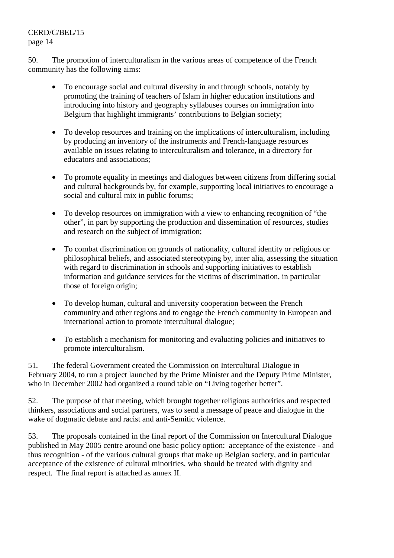50. The promotion of interculturalism in the various areas of competence of the French community has the following aims:

- To encourage social and cultural diversity in and through schools, notably by promoting the training of teachers of Islam in higher education institutions and introducing into history and geography syllabuses courses on immigration into Belgium that highlight immigrants' contributions to Belgian society;
- To develop resources and training on the implications of interculturalism, including by producing an inventory of the instruments and French-language resources available on issues relating to interculturalism and tolerance, in a directory for educators and associations;
- To promote equality in meetings and dialogues between citizens from differing social and cultural backgrounds by, for example, supporting local initiatives to encourage a social and cultural mix in public forums;
- To develop resources on immigration with a view to enhancing recognition of "the other", in part by supporting the production and dissemination of resources, studies and research on the subject of immigration;
- To combat discrimination on grounds of nationality, cultural identity or religious or philosophical beliefs, and associated stereotyping by, inter alia, assessing the situation with regard to discrimination in schools and supporting initiatives to establish information and guidance services for the victims of discrimination, in particular those of foreign origin;
- To develop human, cultural and university cooperation between the French community and other regions and to engage the French community in European and international action to promote intercultural dialogue;
- To establish a mechanism for monitoring and evaluating policies and initiatives to promote interculturalism.

51. The federal Government created the Commission on Intercultural Dialogue in February 2004, to run a project launched by the Prime Minister and the Deputy Prime Minister, who in December 2002 had organized a round table on "Living together better".

52. The purpose of that meeting, which brought together religious authorities and respected thinkers, associations and social partners, was to send a message of peace and dialogue in the wake of dogmatic debate and racist and anti-Semitic violence.

53. The proposals contained in the final report of the Commission on Intercultural Dialogue published in May 2005 centre around one basic policy option: acceptance of the existence - and thus recognition - of the various cultural groups that make up Belgian society, and in particular acceptance of the existence of cultural minorities, who should be treated with dignity and respect. The final report is attached as annex II.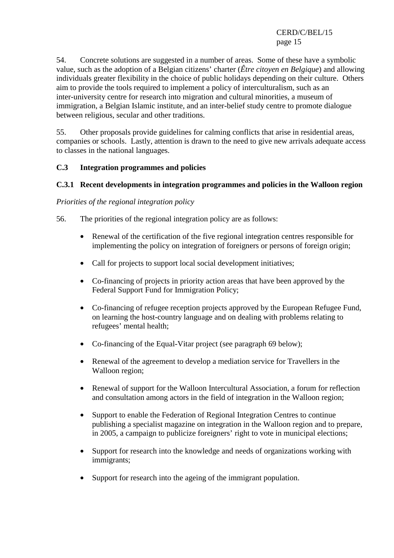54. Concrete solutions are suggested in a number of areas. Some of these have a symbolic value, such as the adoption of a Belgian citizens' charter (*Être citoyen en Belgique*) and allowing individuals greater flexibility in the choice of public holidays depending on their culture. Others aim to provide the tools required to implement a policy of interculturalism, such as an inter-university centre for research into migration and cultural minorities, a museum of immigration, a Belgian Islamic institute, and an inter-belief study centre to promote dialogue between religious, secular and other traditions.

55. Other proposals provide guidelines for calming conflicts that arise in residential areas, companies or schools. Lastly, attention is drawn to the need to give new arrivals adequate access to classes in the national languages.

### **C.3 Integration programmes and policies**

### **C.3.1 Recent developments in integration programmes and policies in the Walloon region**

#### *Priorities of the regional integration policy*

- 56. The priorities of the regional integration policy are as follows:
	- Renewal of the certification of the five regional integration centres responsible for implementing the policy on integration of foreigners or persons of foreign origin;
	- Call for projects to support local social development initiatives;
	- Co-financing of projects in priority action areas that have been approved by the Federal Support Fund for Immigration Policy;
	- Co-financing of refugee reception projects approved by the European Refugee Fund, on learning the host-country language and on dealing with problems relating to refugees' mental health;
	- Co-financing of the Equal-Vitar project (see paragraph 69 below);
	- Renewal of the agreement to develop a mediation service for Travellers in the Walloon region;
	- Renewal of support for the Walloon Intercultural Association, a forum for reflection and consultation among actors in the field of integration in the Walloon region;
	- Support to enable the Federation of Regional Integration Centres to continue publishing a specialist magazine on integration in the Walloon region and to prepare, in 2005, a campaign to publicize foreigners' right to vote in municipal elections;
	- Support for research into the knowledge and needs of organizations working with immigrants;
	- Support for research into the ageing of the immigrant population.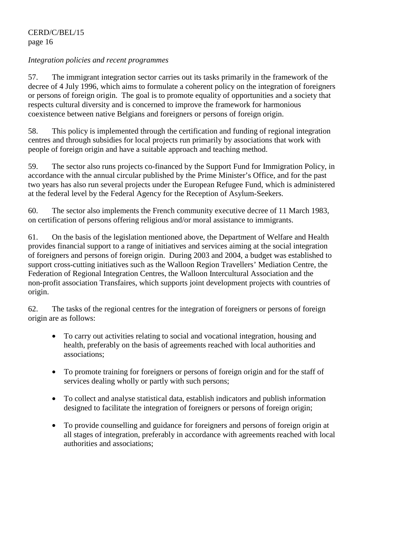#### *Integration policies and recent programmes*

57. The immigrant integration sector carries out its tasks primarily in the framework of the decree of 4 July 1996, which aims to formulate a coherent policy on the integration of foreigners or persons of foreign origin. The goal is to promote equality of opportunities and a society that respects cultural diversity and is concerned to improve the framework for harmonious coexistence between native Belgians and foreigners or persons of foreign origin.

58. This policy is implemented through the certification and funding of regional integration centres and through subsidies for local projects run primarily by associations that work with people of foreign origin and have a suitable approach and teaching method.

59. The sector also runs projects co-financed by the Support Fund for Immigration Policy, in accordance with the annual circular published by the Prime Minister's Office, and for the past two years has also run several projects under the European Refugee Fund, which is administered at the federal level by the Federal Agency for the Reception of Asylum-Seekers.

60. The sector also implements the French community executive decree of 11 March 1983, on certification of persons offering religious and/or moral assistance to immigrants.

61. On the basis of the legislation mentioned above, the Department of Welfare and Health provides financial support to a range of initiatives and services aiming at the social integration of foreigners and persons of foreign origin. During 2003 and 2004, a budget was established to support cross-cutting initiatives such as the Walloon Region Travellers' Mediation Centre, the Federation of Regional Integration Centres, the Walloon Intercultural Association and the non-profit association Transfaires, which supports joint development projects with countries of origin.

62. The tasks of the regional centres for the integration of foreigners or persons of foreign origin are as follows:

- To carry out activities relating to social and vocational integration, housing and health, preferably on the basis of agreements reached with local authorities and associations;
- To promote training for foreigners or persons of foreign origin and for the staff of services dealing wholly or partly with such persons;
- To collect and analyse statistical data, establish indicators and publish information designed to facilitate the integration of foreigners or persons of foreign origin;
- To provide counselling and guidance for foreigners and persons of foreign origin at all stages of integration, preferably in accordance with agreements reached with local authorities and associations;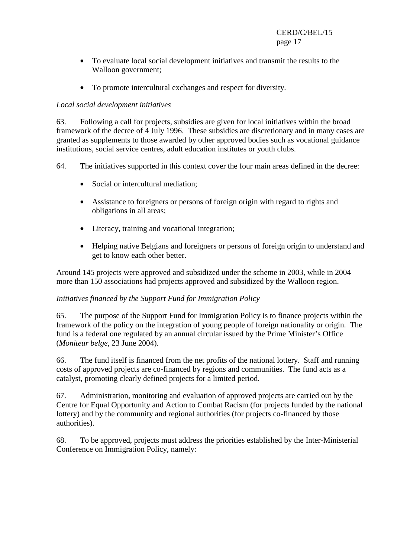- To evaluate local social development initiatives and transmit the results to the Walloon government;
- To promote intercultural exchanges and respect for diversity.

### *Local social development initiatives*

63. Following a call for projects, subsidies are given for local initiatives within the broad framework of the decree of 4 July 1996. These subsidies are discretionary and in many cases are granted as supplements to those awarded by other approved bodies such as vocational guidance institutions, social service centres, adult education institutes or youth clubs.

- 64. The initiatives supported in this context cover the four main areas defined in the decree:
	- Social or intercultural mediation:
	- Assistance to foreigners or persons of foreign origin with regard to rights and obligations in all areas;
	- Literacy, training and vocational integration;
	- Helping native Belgians and foreigners or persons of foreign origin to understand and get to know each other better.

Around 145 projects were approved and subsidized under the scheme in 2003, while in 2004 more than 150 associations had projects approved and subsidized by the Walloon region.

### *Initiatives financed by the Support Fund for Immigration Policy*

65. The purpose of the Support Fund for Immigration Policy is to finance projects within the framework of the policy on the integration of young people of foreign nationality or origin. The fund is a federal one regulated by an annual circular issued by the Prime Minister's Office (*Moniteur belge*, 23 June 2004).

66. The fund itself is financed from the net profits of the national lottery. Staff and running costs of approved projects are co-financed by regions and communities. The fund acts as a catalyst, promoting clearly defined projects for a limited period.

67. Administration, monitoring and evaluation of approved projects are carried out by the Centre for Equal Opportunity and Action to Combat Racism (for projects funded by the national lottery) and by the community and regional authorities (for projects co-financed by those authorities).

68. To be approved, projects must address the priorities established by the Inter-Ministerial Conference on Immigration Policy, namely: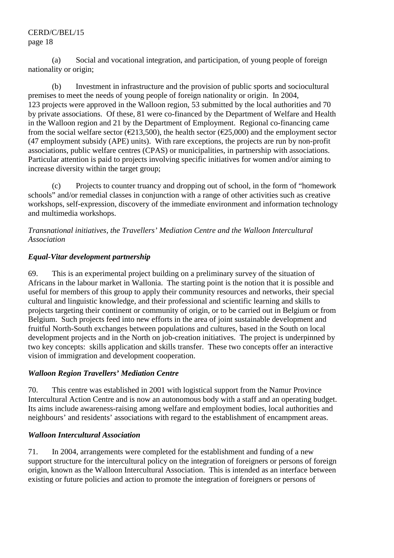(a) Social and vocational integration, and participation, of young people of foreign nationality or origin;

 (b) Investment in infrastructure and the provision of public sports and sociocultural premises to meet the needs of young people of foreign nationality or origin. In 2004, 123 projects were approved in the Walloon region, 53 submitted by the local authorities and 70 by private associations. Of these, 81 were co-financed by the Department of Welfare and Health in the Walloon region and 21 by the Department of Employment. Regional co-financing came from the social welfare sector ( $\epsilon$ 213,500), the health sector ( $\epsilon$ 25,000) and the employment sector (47 employment subsidy (APE) units). With rare exceptions, the projects are run by non-profit associations, public welfare centres (CPAS) or municipalities, in partnership with associations. Particular attention is paid to projects involving specific initiatives for women and/or aiming to increase diversity within the target group;

 (c) Projects to counter truancy and dropping out of school, in the form of "homework schools" and/or remedial classes in conjunction with a range of other activities such as creative workshops, self-expression, discovery of the immediate environment and information technology and multimedia workshops.

### *Transnational initiatives, the Travellers' Mediation Centre and the Walloon Intercultural Association*

### *Equal-Vitar development partnership*

69. This is an experimental project building on a preliminary survey of the situation of Africans in the labour market in Wallonia. The starting point is the notion that it is possible and useful for members of this group to apply their community resources and networks, their special cultural and linguistic knowledge, and their professional and scientific learning and skills to projects targeting their continent or community of origin, or to be carried out in Belgium or from Belgium. Such projects feed into new efforts in the area of joint sustainable development and fruitful North-South exchanges between populations and cultures, based in the South on local development projects and in the North on job-creation initiatives. The project is underpinned by two key concepts: skills application and skills transfer. These two concepts offer an interactive vision of immigration and development cooperation.

### *Walloon Region Travellers' Mediation Centre*

70. This centre was established in 2001 with logistical support from the Namur Province Intercultural Action Centre and is now an autonomous body with a staff and an operating budget. Its aims include awareness-raising among welfare and employment bodies, local authorities and neighbours' and residents' associations with regard to the establishment of encampment areas.

# *Walloon Intercultural Association*

71. In 2004, arrangements were completed for the establishment and funding of a new support structure for the intercultural policy on the integration of foreigners or persons of foreign origin, known as the Walloon Intercultural Association. This is intended as an interface between existing or future policies and action to promote the integration of foreigners or persons of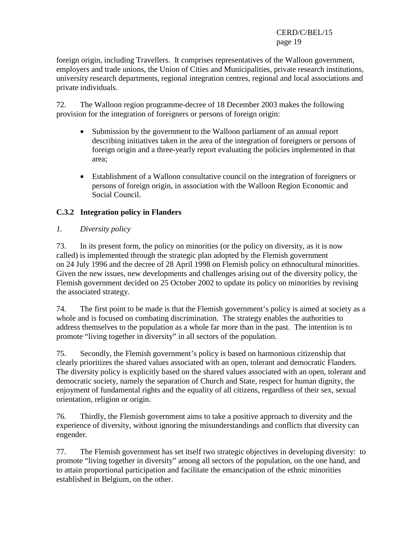foreign origin, including Travellers. It comprises representatives of the Walloon government, employers and trade unions, the Union of Cities and Municipalities, private research institutions, university research departments, regional integration centres, regional and local associations and private individuals.

72. The Walloon region programme-decree of 18 December 2003 makes the following provision for the integration of foreigners or persons of foreign origin:

- Submission by the government to the Walloon parliament of an annual report describing initiatives taken in the area of the integration of foreigners or persons of foreign origin and a three-yearly report evaluating the policies implemented in that area;
- Establishment of a Walloon consultative council on the integration of foreigners or persons of foreign origin, in association with the Walloon Region Economic and Social Council.

### **C.3.2 Integration policy in Flanders**

*1. Diversity policy* 

73. In its present form, the policy on minorities (or the policy on diversity, as it is now called) is implemented through the strategic plan adopted by the Flemish government on 24 July 1996 and the decree of 28 April 1998 on Flemish policy on ethnocultural minorities. Given the new issues, new developments and challenges arising out of the diversity policy, the Flemish government decided on 25 October 2002 to update its policy on minorities by revising the associated strategy.

74. The first point to be made is that the Flemish government's policy is aimed at society as a whole and is focused on combating discrimination. The strategy enables the authorities to address themselves to the population as a whole far more than in the past. The intention is to promote "living together in diversity" in all sectors of the population.

75. Secondly, the Flemish government's policy is based on harmonious citizenship that clearly prioritizes the shared values associated with an open, tolerant and democratic Flanders. The diversity policy is explicitly based on the shared values associated with an open, tolerant and democratic society, namely the separation of Church and State, respect for human dignity, the enjoyment of fundamental rights and the equality of all citizens, regardless of their sex, sexual orientation, religion or origin.

76. Thirdly, the Flemish government aims to take a positive approach to diversity and the experience of diversity, without ignoring the misunderstandings and conflicts that diversity can engender.

77. The Flemish government has set itself two strategic objectives in developing diversity: to promote "living together in diversity" among all sectors of the population, on the one hand, and to attain proportional participation and facilitate the emancipation of the ethnic minorities established in Belgium, on the other.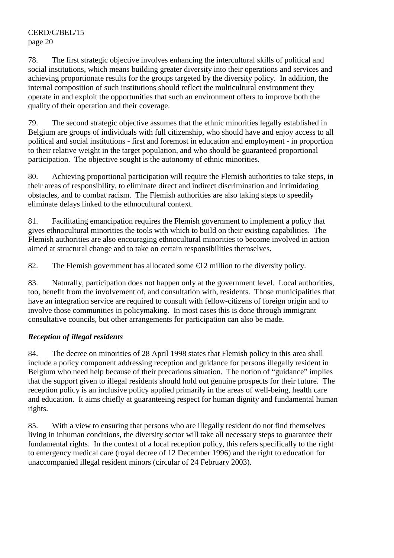78. The first strategic objective involves enhancing the intercultural skills of political and social institutions, which means building greater diversity into their operations and services and achieving proportionate results for the groups targeted by the diversity policy. In addition, the internal composition of such institutions should reflect the multicultural environment they operate in and exploit the opportunities that such an environment offers to improve both the quality of their operation and their coverage.

79. The second strategic objective assumes that the ethnic minorities legally established in Belgium are groups of individuals with full citizenship, who should have and enjoy access to all political and social institutions - first and foremost in education and employment - in proportion to their relative weight in the target population, and who should be guaranteed proportional participation. The objective sought is the autonomy of ethnic minorities.

80. Achieving proportional participation will require the Flemish authorities to take steps, in their areas of responsibility, to eliminate direct and indirect discrimination and intimidating obstacles, and to combat racism. The Flemish authorities are also taking steps to speedily eliminate delays linked to the ethnocultural context.

81. Facilitating emancipation requires the Flemish government to implement a policy that gives ethnocultural minorities the tools with which to build on their existing capabilities. The Flemish authorities are also encouraging ethnocultural minorities to become involved in action aimed at structural change and to take on certain responsibilities themselves.

82. The Flemish government has allocated some  $\epsilon$ 12 million to the diversity policy.

83. Naturally, participation does not happen only at the government level. Local authorities, too, benefit from the involvement of, and consultation with, residents. Those municipalities that have an integration service are required to consult with fellow-citizens of foreign origin and to involve those communities in policymaking. In most cases this is done through immigrant consultative councils, but other arrangements for participation can also be made.

# *Reception of illegal residents*

84. The decree on minorities of 28 April 1998 states that Flemish policy in this area shall include a policy component addressing reception and guidance for persons illegally resident in Belgium who need help because of their precarious situation. The notion of "guidance" implies that the support given to illegal residents should hold out genuine prospects for their future. The reception policy is an inclusive policy applied primarily in the areas of well-being, health care and education. It aims chiefly at guaranteeing respect for human dignity and fundamental human rights.

85. With a view to ensuring that persons who are illegally resident do not find themselves living in inhuman conditions, the diversity sector will take all necessary steps to guarantee their fundamental rights. In the context of a local reception policy, this refers specifically to the right to emergency medical care (royal decree of 12 December 1996) and the right to education for unaccompanied illegal resident minors (circular of 24 February 2003).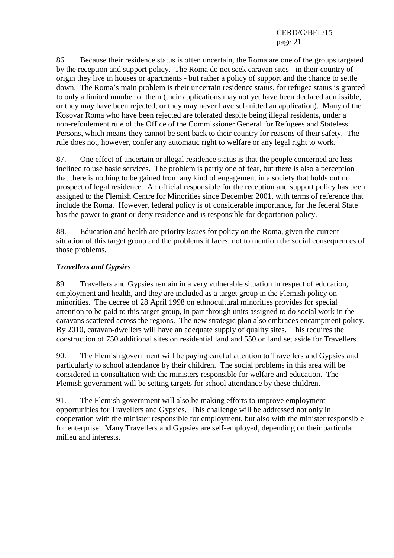86. Because their residence status is often uncertain, the Roma are one of the groups targeted by the reception and support policy. The Roma do not seek caravan sites - in their country of origin they live in houses or apartments - but rather a policy of support and the chance to settle down. The Roma's main problem is their uncertain residence status, for refugee status is granted to only a limited number of them (their applications may not yet have been declared admissible, or they may have been rejected, or they may never have submitted an application). Many of the Kosovar Roma who have been rejected are tolerated despite being illegal residents, under a non-refoulement rule of the Office of the Commissioner General for Refugees and Stateless Persons, which means they cannot be sent back to their country for reasons of their safety. The rule does not, however, confer any automatic right to welfare or any legal right to work.

87. One effect of uncertain or illegal residence status is that the people concerned are less inclined to use basic services. The problem is partly one of fear, but there is also a perception that there is nothing to be gained from any kind of engagement in a society that holds out no prospect of legal residence. An official responsible for the reception and support policy has been assigned to the Flemish Centre for Minorities since December 2001, with terms of reference that include the Roma. However, federal policy is of considerable importance, for the federal State has the power to grant or deny residence and is responsible for deportation policy.

88. Education and health are priority issues for policy on the Roma, given the current situation of this target group and the problems it faces, not to mention the social consequences of those problems.

### *Travellers and Gypsies*

89. Travellers and Gypsies remain in a very vulnerable situation in respect of education, employment and health, and they are included as a target group in the Flemish policy on minorities. The decree of 28 April 1998 on ethnocultural minorities provides for special attention to be paid to this target group, in part through units assigned to do social work in the caravans scattered across the regions. The new strategic plan also embraces encampment policy. By 2010, caravan-dwellers will have an adequate supply of quality sites. This requires the construction of 750 additional sites on residential land and 550 on land set aside for Travellers.

90. The Flemish government will be paying careful attention to Travellers and Gypsies and particularly to school attendance by their children. The social problems in this area will be considered in consultation with the ministers responsible for welfare and education. The Flemish government will be setting targets for school attendance by these children.

91. The Flemish government will also be making efforts to improve employment opportunities for Travellers and Gypsies. This challenge will be addressed not only in cooperation with the minister responsible for employment, but also with the minister responsible for enterprise. Many Travellers and Gypsies are self-employed, depending on their particular milieu and interests.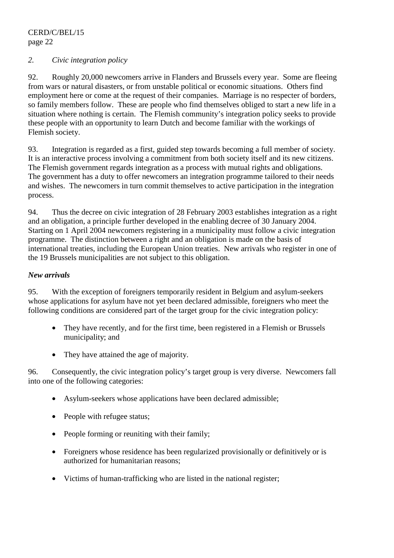#### *2. Civic integration policy*

92. Roughly 20,000 newcomers arrive in Flanders and Brussels every year. Some are fleeing from wars or natural disasters, or from unstable political or economic situations. Others find employment here or come at the request of their companies. Marriage is no respecter of borders, so family members follow. These are people who find themselves obliged to start a new life in a situation where nothing is certain. The Flemish community's integration policy seeks to provide these people with an opportunity to learn Dutch and become familiar with the workings of Flemish society.

93. Integration is regarded as a first, guided step towards becoming a full member of society. It is an interactive process involving a commitment from both society itself and its new citizens. The Flemish government regards integration as a process with mutual rights and obligations. The government has a duty to offer newcomers an integration programme tailored to their needs and wishes. The newcomers in turn commit themselves to active participation in the integration process.

94. Thus the decree on civic integration of 28 February 2003 establishes integration as a right and an obligation, a principle further developed in the enabling decree of 30 January 2004. Starting on 1 April 2004 newcomers registering in a municipality must follow a civic integration programme. The distinction between a right and an obligation is made on the basis of international treaties, including the European Union treaties. New arrivals who register in one of the 19 Brussels municipalities are not subject to this obligation.

#### *New arrivals*

95. With the exception of foreigners temporarily resident in Belgium and asylum-seekers whose applications for asylum have not yet been declared admissible, foreigners who meet the following conditions are considered part of the target group for the civic integration policy:

- They have recently, and for the first time, been registered in a Flemish or Brussels municipality; and
- They have attained the age of majority.

96. Consequently, the civic integration policy's target group is very diverse. Newcomers fall into one of the following categories:

- Asylum-seekers whose applications have been declared admissible;
- People with refugee status;
- People forming or reuniting with their family;
- Foreigners whose residence has been regularized provisionally or definitively or is authorized for humanitarian reasons;
- Victims of human-trafficking who are listed in the national register;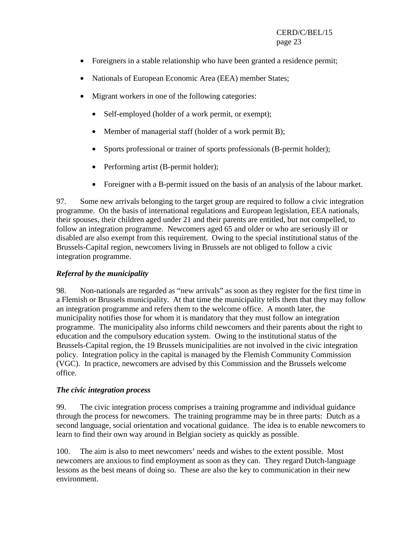- Foreigners in a stable relationship who have been granted a residence permit;
- Nationals of European Economic Area (EEA) member States;
- Migrant workers in one of the following categories:
	- Self-employed (holder of a work permit, or exempt):
	- Member of managerial staff (holder of a work permit B);
	- Sports professional or trainer of sports professionals (B-permit holder);
	- Performing artist (B-permit holder);
	- Foreigner with a B-permit issued on the basis of an analysis of the labour market.

97. Some new arrivals belonging to the target group are required to follow a civic integration programme. On the basis of international regulations and European legislation, EEA nationals, their spouses, their children aged under 21 and their parents are entitled, but not compelled, to follow an integration programme. Newcomers aged 65 and older or who are seriously ill or disabled are also exempt from this requirement. Owing to the special institutional status of the Brussels-Capital region, newcomers living in Brussels are not obliged to follow a civic integration programme.

### *Referral by the municipality*

98. Non-nationals are regarded as "new arrivals" as soon as they register for the first time in a Flemish or Brussels municipality. At that time the municipality tells them that they may follow an integration programme and refers them to the welcome office. A month later, the municipality notifies those for whom it is mandatory that they must follow an integration programme. The municipality also informs child newcomers and their parents about the right to education and the compulsory education system. Owing to the institutional status of the Brussels-Capital region, the 19 Brussels municipalities are not involved in the civic integration policy. Integration policy in the capital is managed by the Flemish Community Commission (VGC). In practice, newcomers are advised by this Commission and the Brussels welcome office.

#### *The civic integration process*

99. The civic integration process comprises a training programme and individual guidance through the process for newcomers. The training programme may be in three parts: Dutch as a second language, social orientation and vocational guidance. The idea is to enable newcomers to learn to find their own way around in Belgian society as quickly as possible.

100. The aim is also to meet newcomers' needs and wishes to the extent possible. Most newcomers are anxious to find employment as soon as they can. They regard Dutch-language lessons as the best means of doing so. These are also the key to communication in their new environment.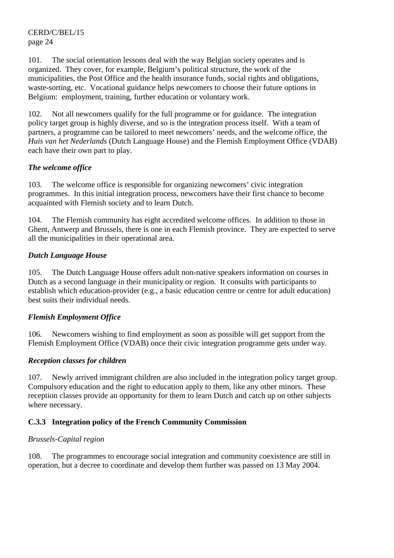101. The social orientation lessons deal with the way Belgian society operates and is organized. They cover, for example, Belgium's political structure, the work of the municipalities, the Post Office and the health insurance funds, social rights and obligations, waste-sorting, etc. Vocational guidance helps newcomers to choose their future options in Belgium: employment, training, further education or voluntary work.

102. Not all newcomers qualify for the full programme or for guidance. The integration policy target group is highly diverse, and so is the integration process itself. With a team of partners, a programme can be tailored to meet newcomers' needs, and the welcome office, the *Huis van het Nederlands* (Dutch Language House) and the Flemish Employment Office (VDAB) each have their own part to play.

### *The welcome office*

103. The welcome office is responsible for organizing newcomers' civic integration programmes. In this initial integration process, newcomers have their first chance to become acquainted with Flemish society and to learn Dutch.

104. The Flemish community has eight accredited welcome offices. In addition to those in Ghent, Antwerp and Brussels, there is one in each Flemish province. They are expected to serve all the municipalities in their operational area.

# *Dutch Language House*

105. The Dutch Language House offers adult non-native speakers information on courses in Dutch as a second language in their municipality or region. It consults with participants to establish which education-provider (e.g., a basic education centre or centre for adult education) best suits their individual needs.

### *Flemish Employment Office*

106. Newcomers wishing to find employment as soon as possible will get support from the Flemish Employment Office (VDAB) once their civic integration programme gets under way.

# *Reception classes for children*

107. Newly arrived immigrant children are also included in the integration policy target group. Compulsory education and the right to education apply to them, like any other minors. These reception classes provide an opportunity for them to learn Dutch and catch up on other subjects where necessary.

# **C.3.3 Integration policy of the French Community Commission**

### *Brussels-Capital region*

108. The programmes to encourage social integration and community coexistence are still in operation, but a decree to coordinate and develop them further was passed on 13 May 2004.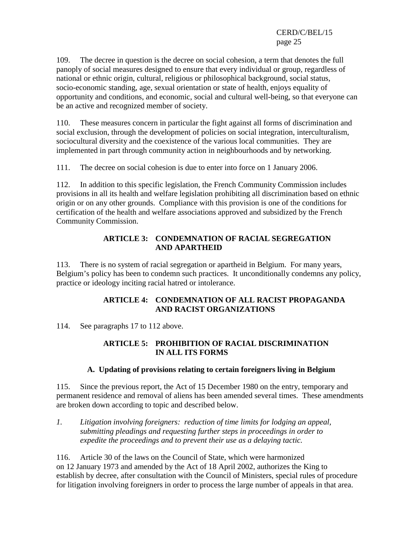109. The decree in question is the decree on social cohesion, a term that denotes the full panoply of social measures designed to ensure that every individual or group, regardless of national or ethnic origin, cultural, religious or philosophical background, social status, socio-economic standing, age, sexual orientation or state of health, enjoys equality of opportunity and conditions, and economic, social and cultural well-being, so that everyone can be an active and recognized member of society.

110. These measures concern in particular the fight against all forms of discrimination and social exclusion, through the development of policies on social integration, interculturalism, sociocultural diversity and the coexistence of the various local communities. They are implemented in part through community action in neighbourhoods and by networking.

111. The decree on social cohesion is due to enter into force on 1 January 2006.

112. In addition to this specific legislation, the French Community Commission includes provisions in all its health and welfare legislation prohibiting all discrimination based on ethnic origin or on any other grounds. Compliance with this provision is one of the conditions for certification of the health and welfare associations approved and subsidized by the French Community Commission.

### **ARTICLE 3: CONDEMNATION OF RACIAL SEGREGATION AND APARTHEID**

113. There is no system of racial segregation or apartheid in Belgium. For many years, Belgium's policy has been to condemn such practices. It unconditionally condemns any policy, practice or ideology inciting racial hatred or intolerance.

### **ARTICLE 4: CONDEMNATION OF ALL RACIST PROPAGANDA AND RACIST ORGANIZATIONS**

114. See paragraphs 17 to 112 above.

### **ARTICLE 5: PROHIBITION OF RACIAL DISCRIMINATION IN ALL ITS FORMS**

### **A. Updating of provisions relating to certain foreigners living in Belgium**

115. Since the previous report, the Act of 15 December 1980 on the entry, temporary and permanent residence and removal of aliens has been amended several times. These amendments are broken down according to topic and described below.

*1. Litigation involving foreigners: reduction of time limits for lodging an appeal, submitting pleadings and requesting further steps in proceedings in order to expedite the proceedings and to prevent their use as a delaying tactic.* 

116. Article 30 of the laws on the Council of State, which were harmonized on 12 January 1973 and amended by the Act of 18 April 2002, authorizes the King to establish by decree, after consultation with the Council of Ministers, special rules of procedure for litigation involving foreigners in order to process the large number of appeals in that area.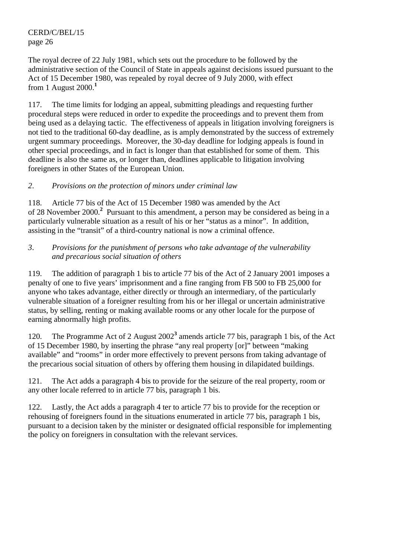The royal decree of 22 July 1981, which sets out the procedure to be followed by the administrative section of the Council of State in appeals against decisions issued pursuant to the Act of 15 December 1980, was repealed by royal decree of 9 July 2000, with effect from 1 August 2000.**<sup>1</sup>**

117. The time limits for lodging an appeal, submitting pleadings and requesting further procedural steps were reduced in order to expedite the proceedings and to prevent them from being used as a delaying tactic. The effectiveness of appeals in litigation involving foreigners is not tied to the traditional 60-day deadline, as is amply demonstrated by the success of extremely urgent summary proceedings. Moreover, the 30-day deadline for lodging appeals is found in other special proceedings, and in fact is longer than that established for some of them. This deadline is also the same as, or longer than, deadlines applicable to litigation involving foreigners in other States of the European Union.

### *2*. *Provisions on the protection of minors under criminal law*

118. Article 77 bis of the Act of 15 December 1980 was amended by the Act of 28 November 2000.**<sup>2</sup>** Pursuant to this amendment, a person may be considered as being in a particularly vulnerable situation as a result of his or her "status as a minor". In addition, assisting in the "transit" of a third-country national is now a criminal offence.

### *3*. *Provisions for the punishment of persons who take advantage of the vulnerability and precarious social situation of others*

119. The addition of paragraph 1 bis to article 77 bis of the Act of 2 January 2001 imposes a penalty of one to five years' imprisonment and a fine ranging from FB 500 to FB 25,000 for anyone who takes advantage, either directly or through an intermediary, of the particularly vulnerable situation of a foreigner resulting from his or her illegal or uncertain administrative status, by selling, renting or making available rooms or any other locale for the purpose of earning abnormally high profits.

120. The Programme Act of 2 August 2002<sup>3</sup> amends article 77 bis, paragraph 1 bis, of the Act of 15 December 1980, by inserting the phrase "any real property [or]" between "making available" and "rooms" in order more effectively to prevent persons from taking advantage of the precarious social situation of others by offering them housing in dilapidated buildings.

121. The Act adds a paragraph 4 bis to provide for the seizure of the real property, room or any other locale referred to in article 77 bis, paragraph 1 bis.

122. Lastly, the Act adds a paragraph 4 ter to article 77 bis to provide for the reception or rehousing of foreigners found in the situations enumerated in article 77 bis, paragraph 1 bis, pursuant to a decision taken by the minister or designated official responsible for implementing the policy on foreigners in consultation with the relevant services.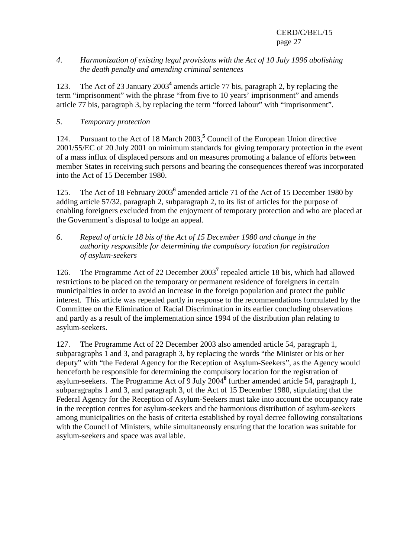#### *4*. *Harmonization of existing legal provisions with the Act of 10 July 1996 abolishing the death penalty and amending criminal sentences*

123. The Act of 23 January 2003**<sup>4</sup>** amends article 77 bis, paragraph 2, by replacing the term "imprisonment" with the phrase "from five to 10 years' imprisonment" and amends article 77 bis, paragraph 3, by replacing the term "forced labour" with "imprisonment".

### *5*. *Temporary protection*

124. Pursuant to the Act of 18 March 2003,**<sup>5</sup>** Council of the European Union directive 2001/55/EC of 20 July 2001 on minimum standards for giving temporary protection in the event of a mass influx of displaced persons and on measures promoting a balance of efforts between member States in receiving such persons and bearing the consequences thereof was incorporated into the Act of 15 December 1980.

125. The Act of 18 February 2003<sup>6</sup> amended article 71 of the Act of 15 December 1980 by adding article 57/32, paragraph 2, subparagraph 2, to its list of articles for the purpose of enabling foreigners excluded from the enjoyment of temporary protection and who are placed at the Government's disposal to lodge an appeal.

### *6*. *Repeal of article 18 bis of the Act of 15 December 1980 and change in the authority responsible for determining the compulsory location for registration of asylum-seekers*

126. The Programme Act of 22 December 2003<sup>7</sup> repealed article 18 bis, which had allowed restrictions to be placed on the temporary or permanent residence of foreigners in certain municipalities in order to avoid an increase in the foreign population and protect the public interest. This article was repealed partly in response to the recommendations formulated by the Committee on the Elimination of Racial Discrimination in its earlier concluding observations and partly as a result of the implementation since 1994 of the distribution plan relating to asylum-seekers.

127. The Programme Act of 22 December 2003 also amended article 54, paragraph 1, subparagraphs 1 and 3, and paragraph 3, by replacing the words "the Minister or his or her deputy" with "the Federal Agency for the Reception of Asylum-Seekers", as the Agency would henceforth be responsible for determining the compulsory location for the registration of asylum-seekers. The Programme Act of 9 July 2004**<sup>8</sup>** further amended article 54, paragraph 1, subparagraphs 1 and 3, and paragraph 3, of the Act of 15 December 1980, stipulating that the Federal Agency for the Reception of Asylum-Seekers must take into account the occupancy rate in the reception centres for asylum-seekers and the harmonious distribution of asylum-seekers among municipalities on the basis of criteria established by royal decree following consultations with the Council of Ministers, while simultaneously ensuring that the location was suitable for asylum-seekers and space was available.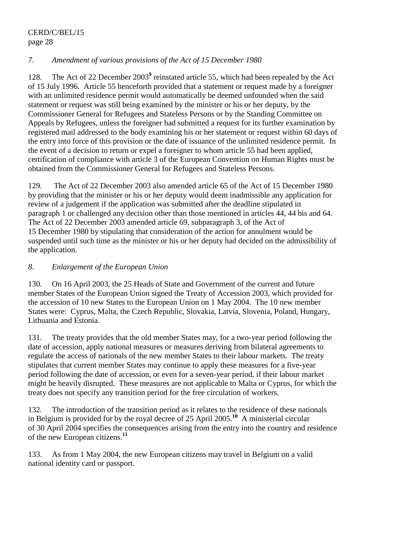### *7*. *Amendment of various provisions of the Act of 15 December 1980*

128. The Act of 22 December 2003<sup>9</sup> reinstated article 55, which had been repealed by the Act of 15 July 1996. Article 55 henceforth provided that a statement or request made by a foreigner with an unlimited residence permit would automatically be deemed unfounded when the said statement or request was still being examined by the minister or his or her deputy, by the Commissioner General for Refugees and Stateless Persons or by the Standing Committee on Appeals by Refugees, unless the foreigner had submitted a request for its further examination by registered mail addressed to the body examining his or her statement or request within 60 days of the entry into force of this provision or the date of issuance of the unlimited residence permit. In the event of a decision to return or expel a foreigner to whom article 55 had been applied, certification of compliance with article 3 of the European Convention on Human Rights must be obtained from the Commissioner General for Refugees and Stateless Persons.

129. The Act of 22 December 2003 also amended article 65 of the Act of 15 December 1980 by providing that the minister or his or her deputy would deem inadmissible any application for review of a judgement if the application was submitted after the deadline stipulated in paragraph 1 or challenged any decision other than those mentioned in articles 44, 44 bis and 64. The Act of 22 December 2003 amended article 69, subparagraph 3, of the Act of 15 December 1980 by stipulating that consideration of the action for annulment would be suspended until such time as the minister or his or her deputy had decided on the admissibility of the application.

### *8*. *Enlargement of the European Union*

130. On 16 April 2003, the 25 Heads of State and Government of the current and future member States of the European Union signed the Treaty of Accession 2003, which provided for the accession of 10 new States to the European Union on 1 May 2004. The 10 new member States were: Cyprus, Malta, the Czech Republic, Slovakia, Latvia, Slovenia, Poland, Hungary, Lithuania and Estonia.

131. The treaty provides that the old member States may, for a two-year period following the date of accession, apply national measures or measures deriving from bilateral agreements to regulate the access of nationals of the new member States to their labour markets. The treaty stipulates that current member States may continue to apply these measures for a five-year period following the date of accession, or even for a seven-year period, if their labour market might be heavily disrupted. These measures are not applicable to Malta or Cyprus, for which the treaty does not specify any transition period for the free circulation of workers.

132. The introduction of the transition period as it relates to the residence of these nationals in Belgium is provided for by the royal decree of 25 April 2005.**<sup>10</sup>** A ministerial circular of 30 April 2004 specifies the consequences arising from the entry into the country and residence of the new European citizens.**<sup>11</sup>**

133. As from 1 May 2004, the new European citizens may travel in Belgium on a valid national identity card or passport.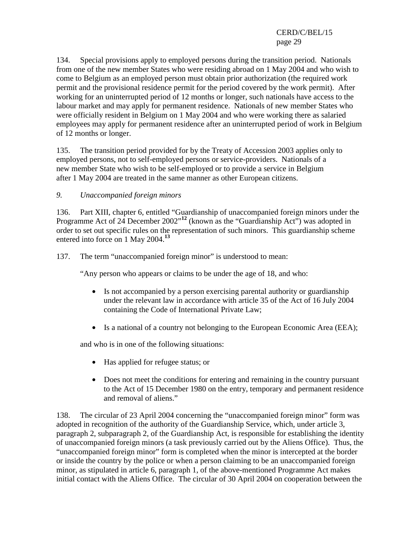134. Special provisions apply to employed persons during the transition period. Nationals from one of the new member States who were residing abroad on 1 May 2004 and who wish to come to Belgium as an employed person must obtain prior authorization (the required work permit and the provisional residence permit for the period covered by the work permit). After working for an uninterrupted period of 12 months or longer, such nationals have access to the labour market and may apply for permanent residence. Nationals of new member States who were officially resident in Belgium on 1 May 2004 and who were working there as salaried employees may apply for permanent residence after an uninterrupted period of work in Belgium of 12 months or longer.

135. The transition period provided for by the Treaty of Accession 2003 applies only to employed persons, not to self-employed persons or service-providers. Nationals of a new member State who wish to be self-employed or to provide a service in Belgium after 1 May 2004 are treated in the same manner as other European citizens.

#### *9. Unaccompanied foreign minors*

136. Part XIII, chapter 6, entitled "Guardianship of unaccompanied foreign minors under the Programme Act of 24 December 2002<sup>"12</sup> (known as the "Guardianship Act") was adopted in order to set out specific rules on the representation of such minors. This guardianship scheme entered into force on 1 May 2004.**<sup>13</sup>**

137. The term "unaccompanied foreign minor" is understood to mean:

"Any person who appears or claims to be under the age of 18, and who:

- Is not accompanied by a person exercising parental authority or guardianship under the relevant law in accordance with article 35 of the Act of 16 July 2004 containing the Code of International Private Law;
- Is a national of a country not belonging to the European Economic Area (EEA);

and who is in one of the following situations:

- Has applied for refugee status; or
- Does not meet the conditions for entering and remaining in the country pursuant to the Act of 15 December 1980 on the entry, temporary and permanent residence and removal of aliens."

138. The circular of 23 April 2004 concerning the "unaccompanied foreign minor" form was adopted in recognition of the authority of the Guardianship Service, which, under article 3, paragraph 2, subparagraph 2, of the Guardianship Act, is responsible for establishing the identity of unaccompanied foreign minors (a task previously carried out by the Aliens Office). Thus, the "unaccompanied foreign minor" form is completed when the minor is intercepted at the border or inside the country by the police or when a person claiming to be an unaccompanied foreign minor, as stipulated in article 6, paragraph 1, of the above-mentioned Programme Act makes initial contact with the Aliens Office. The circular of 30 April 2004 on cooperation between the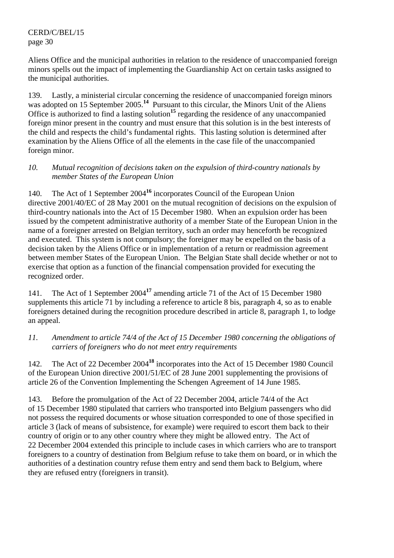Aliens Office and the municipal authorities in relation to the residence of unaccompanied foreign minors spells out the impact of implementing the Guardianship Act on certain tasks assigned to the municipal authorities.

139. Lastly, a ministerial circular concerning the residence of unaccompanied foreign minors was adopted on 15 September 2005.<sup>14</sup> Pursuant to this circular, the Minors Unit of the Aliens Office is authorized to find a lasting solution**<sup>15</sup>** regarding the residence of any unaccompanied foreign minor present in the country and must ensure that this solution is in the best interests of the child and respects the child's fundamental rights. This lasting solution is determined after examination by the Aliens Office of all the elements in the case file of the unaccompanied foreign minor.

### *10. Mutual recognition of decisions taken on the expulsion of third-country nationals by member States of the European Union*

140. The Act of 1 September 2004**<sup>16</sup>** incorporates Council of the European Union directive 2001/40/EC of 28 May 2001 on the mutual recognition of decisions on the expulsion of third-country nationals into the Act of 15 December 1980. When an expulsion order has been issued by the competent administrative authority of a member State of the European Union in the name of a foreigner arrested on Belgian territory, such an order may henceforth be recognized and executed. This system is not compulsory; the foreigner may be expelled on the basis of a decision taken by the Aliens Office or in implementation of a return or readmission agreement between member States of the European Union. The Belgian State shall decide whether or not to exercise that option as a function of the financial compensation provided for executing the recognized order.

141. The Act of 1 September 2004**<sup>17</sup>** amending article 71 of the Act of 15 December 1980 supplements this article 71 by including a reference to article 8 bis, paragraph 4, so as to enable foreigners detained during the recognition procedure described in article 8, paragraph 1, to lodge an appeal.

### *11. Amendment to article 74/4 of the Act of 15 December 1980 concerning the obligations of carriers of foreigners who do not meet entry requirements*

142. The Act of 22 December 2004**<sup>18</sup>** incorporates into the Act of 15 December 1980 Council of the European Union directive 2001/51/EC of 28 June 2001 supplementing the provisions of article 26 of the Convention Implementing the Schengen Agreement of 14 June 1985.

143. Before the promulgation of the Act of 22 December 2004, article 74/4 of the Act of 15 December 1980 stipulated that carriers who transported into Belgium passengers who did not possess the required documents or whose situation corresponded to one of those specified in article 3 (lack of means of subsistence, for example) were required to escort them back to their country of origin or to any other country where they might be allowed entry. The Act of 22 December 2004 extended this principle to include cases in which carriers who are to transport foreigners to a country of destination from Belgium refuse to take them on board, or in which the authorities of a destination country refuse them entry and send them back to Belgium, where they are refused entry (foreigners in transit).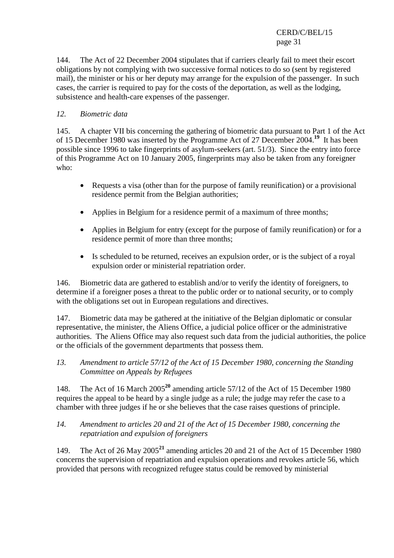144. The Act of 22 December 2004 stipulates that if carriers clearly fail to meet their escort obligations by not complying with two successive formal notices to do so (sent by registered mail), the minister or his or her deputy may arrange for the expulsion of the passenger. In such cases, the carrier is required to pay for the costs of the deportation, as well as the lodging, subsistence and health-care expenses of the passenger.

### *12. Biometric data*

145. A chapter VII bis concerning the gathering of biometric data pursuant to Part 1 of the Act of 15 December 1980 was inserted by the Programme Act of 27 December 2004.**<sup>19</sup>** It has been possible since 1996 to take fingerprints of asylum-seekers (art. 51/3). Since the entry into force of this Programme Act on 10 January 2005, fingerprints may also be taken from any foreigner who:

- Requests a visa (other than for the purpose of family reunification) or a provisional residence permit from the Belgian authorities;
- Applies in Belgium for a residence permit of a maximum of three months;
- Applies in Belgium for entry (except for the purpose of family reunification) or for a residence permit of more than three months;
- Is scheduled to be returned, receives an expulsion order, or is the subject of a royal expulsion order or ministerial repatriation order.

146. Biometric data are gathered to establish and/or to verify the identity of foreigners, to determine if a foreigner poses a threat to the public order or to national security, or to comply with the obligations set out in European regulations and directives.

147. Biometric data may be gathered at the initiative of the Belgian diplomatic or consular representative, the minister, the Aliens Office, a judicial police officer or the administrative authorities. The Aliens Office may also request such data from the judicial authorities, the police or the officials of the government departments that possess them.

*13. Amendment to article 57/12 of the Act of 15 December 1980, concerning the Standing Committee on Appeals by Refugees* 

148. The Act of 16 March 2005**<sup>20</sup>** amending article 57/12 of the Act of 15 December 1980 requires the appeal to be heard by a single judge as a rule; the judge may refer the case to a chamber with three judges if he or she believes that the case raises questions of principle.

### *14. Amendment to articles 20 and 21 of the Act of 15 December 1980, concerning the repatriation and expulsion of foreigners*

149. The Act of 26 May 2005**<sup>21</sup>** amending articles 20 and 21 of the Act of 15 December 1980 concerns the supervision of repatriation and expulsion operations and revokes article 56, which provided that persons with recognized refugee status could be removed by ministerial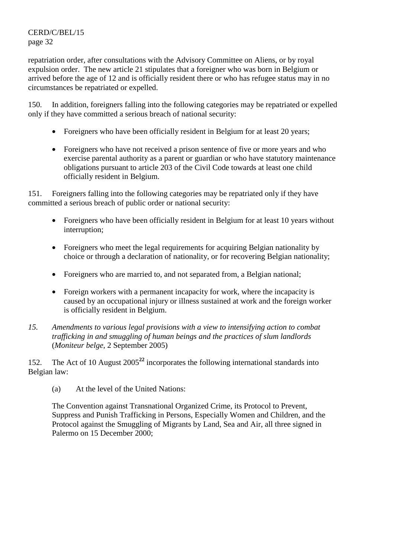repatriation order, after consultations with the Advisory Committee on Aliens, or by royal expulsion order. The new article 21 stipulates that a foreigner who was born in Belgium or arrived before the age of 12 and is officially resident there or who has refugee status may in no circumstances be repatriated or expelled.

150. In addition, foreigners falling into the following categories may be repatriated or expelled only if they have committed a serious breach of national security:

- Foreigners who have been officially resident in Belgium for at least 20 years;
- Foreigners who have not received a prison sentence of five or more years and who exercise parental authority as a parent or guardian or who have statutory maintenance obligations pursuant to article 203 of the Civil Code towards at least one child officially resident in Belgium.

151. Foreigners falling into the following categories may be repatriated only if they have committed a serious breach of public order or national security:

- Foreigners who have been officially resident in Belgium for at least 10 years without interruption;
- Foreigners who meet the legal requirements for acquiring Belgian nationality by choice or through a declaration of nationality, or for recovering Belgian nationality;
- Foreigners who are married to, and not separated from, a Belgian national;
- Foreign workers with a permanent incapacity for work, where the incapacity is caused by an occupational injury or illness sustained at work and the foreign worker is officially resident in Belgium.
- *15. Amendments to various legal provisions with a view to intensifying action to combat trafficking in and smuggling of human beings and the practices of slum landlords* (*Moniteur belge*, 2 September 2005)

152. The Act of 10 August 2005**<sup>22</sup>** incorporates the following international standards into Belgian law:

(a) At the level of the United Nations:

The Convention against Transnational Organized Crime, its Protocol to Prevent, Suppress and Punish Trafficking in Persons, Especially Women and Children, and the Protocol against the Smuggling of Migrants by Land, Sea and Air, all three signed in Palermo on 15 December 2000;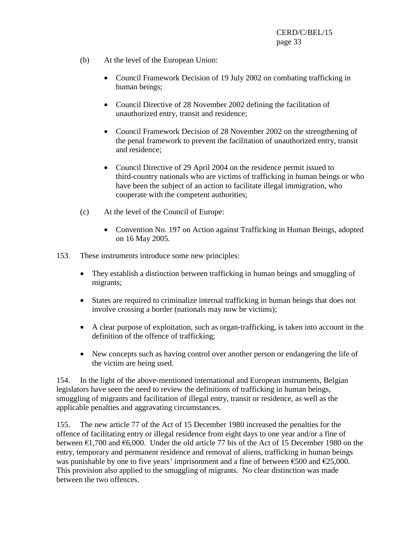- (b) At the level of the European Union:
	- Council Framework Decision of 19 July 2002 on combating trafficking in human beings;
	- Council Directive of 28 November 2002 defining the facilitation of unauthorized entry, transit and residence;
	- Council Framework Decision of 28 November 2002 on the strengthening of the penal framework to prevent the facilitation of unauthorized entry, transit and residence;
	- Council Directive of 29 April 2004 on the residence permit issued to third-country nationals who are victims of trafficking in human beings or who have been the subject of an action to facilitate illegal immigration, who cooperate with the competent authorities;
- (c) At the level of the Council of Europe:
	- Convention No. 197 on Action against Trafficking in Human Beings, adopted on 16 May 2005.
- 153. These instruments introduce some new principles:
	- They establish a distinction between trafficking in human beings and smuggling of migrants;
	- States are required to criminalize internal trafficking in human beings that does not involve crossing a border (nationals may now be victims);
	- A clear purpose of exploitation, such as organ-trafficking, is taken into account in the definition of the offence of trafficking;
	- New concepts such as having control over another person or endangering the life of the victim are being used.

154. In the light of the above-mentioned international and European instruments, Belgian legislators have seen the need to review the definitions of trafficking in human beings, smuggling of migrants and facilitation of illegal entry, transit or residence, as well as the applicable penalties and aggravating circumstances.

155. The new article 77 of the Act of 15 December 1980 increased the penalties for the offence of facilitating entry or illegal residence from eight days to one year and/or a fine of between  $\epsilon$ 1,700 and  $\epsilon$ 6,000. Under the old article 77 bis of the Act of 15 December 1980 on the entry, temporary and permanent residence and removal of aliens, trafficking in human beings was punishable by one to five years' imprisonment and a fine of between  $\epsilon$ 500 and  $\epsilon$ 25,000. This provision also applied to the smuggling of migrants. No clear distinction was made between the two offences.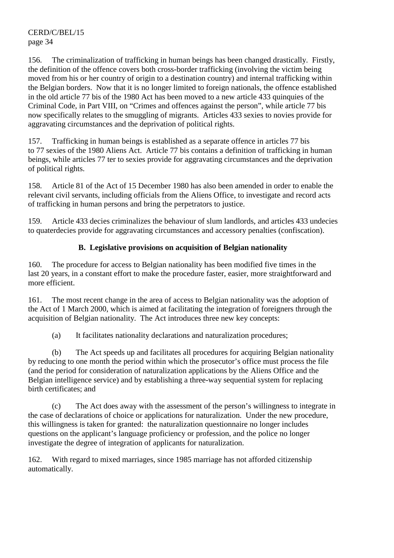156. The criminalization of trafficking in human beings has been changed drastically. Firstly, the definition of the offence covers both cross-border trafficking (involving the victim being moved from his or her country of origin to a destination country) and internal trafficking within the Belgian borders. Now that it is no longer limited to foreign nationals, the offence established in the old article 77 bis of the 1980 Act has been moved to a new article 433 quinquies of the Criminal Code, in Part VIII, on "Crimes and offences against the person", while article 77 bis now specifically relates to the smuggling of migrants. Articles 433 sexies to novies provide for aggravating circumstances and the deprivation of political rights.

157. Trafficking in human beings is established as a separate offence in articles 77 bis to 77 sexies of the 1980 Aliens Act. Article 77 bis contains a definition of trafficking in human beings, while articles 77 ter to sexies provide for aggravating circumstances and the deprivation of political rights.

158. Article 81 of the Act of 15 December 1980 has also been amended in order to enable the relevant civil servants, including officials from the Aliens Office, to investigate and record acts of trafficking in human persons and bring the perpetrators to justice.

159. Article 433 decies criminalizes the behaviour of slum landlords, and articles 433 undecies to quaterdecies provide for aggravating circumstances and accessory penalties (confiscation).

# **B. Legislative provisions on acquisition of Belgian nationality**

160. The procedure for access to Belgian nationality has been modified five times in the last 20 years, in a constant effort to make the procedure faster, easier, more straightforward and more efficient.

161. The most recent change in the area of access to Belgian nationality was the adoption of the Act of 1 March 2000, which is aimed at facilitating the integration of foreigners through the acquisition of Belgian nationality. The Act introduces three new key concepts:

(a) It facilitates nationality declarations and naturalization procedures;

 (b) The Act speeds up and facilitates all procedures for acquiring Belgian nationality by reducing to one month the period within which the prosecutor's office must process the file (and the period for consideration of naturalization applications by the Aliens Office and the Belgian intelligence service) and by establishing a three-way sequential system for replacing birth certificates; and

 (c) The Act does away with the assessment of the person's willingness to integrate in the case of declarations of choice or applications for naturalization. Under the new procedure, this willingness is taken for granted: the naturalization questionnaire no longer includes questions on the applicant's language proficiency or profession, and the police no longer investigate the degree of integration of applicants for naturalization.

162. With regard to mixed marriages, since 1985 marriage has not afforded citizenship automatically.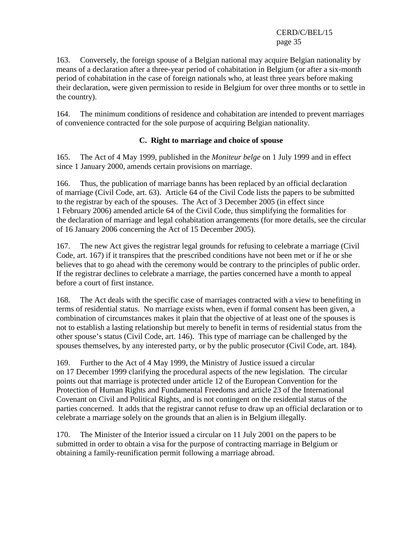163. Conversely, the foreign spouse of a Belgian national may acquire Belgian nationality by means of a declaration after a three-year period of cohabitation in Belgium (or after a six-month period of cohabitation in the case of foreign nationals who, at least three years before making their declaration, were given permission to reside in Belgium for over three months or to settle in the country).

164. The minimum conditions of residence and cohabitation are intended to prevent marriages of convenience contracted for the sole purpose of acquiring Belgian nationality.

### **C. Right to marriage and choice of spouse**

165. The Act of 4 May 1999, published in the *Moniteur belge* on 1 July 1999 and in effect since 1 January 2000, amends certain provisions on marriage.

166. Thus, the publication of marriage banns has been replaced by an official declaration of marriage (Civil Code, art. 63). Article 64 of the Civil Code lists the papers to be submitted to the registrar by each of the spouses. The Act of 3 December 2005 (in effect since 1 February 2006) amended article 64 of the Civil Code, thus simplifying the formalities for the declaration of marriage and legal cohabitation arrangements (for more details, see the circular of 16 January 2006 concerning the Act of 15 December 2005).

167. The new Act gives the registrar legal grounds for refusing to celebrate a marriage (Civil Code, art. 167) if it transpires that the prescribed conditions have not been met or if he or she believes that to go ahead with the ceremony would be contrary to the principles of public order. If the registrar declines to celebrate a marriage, the parties concerned have a month to appeal before a court of first instance.

168. The Act deals with the specific case of marriages contracted with a view to benefiting in terms of residential status. No marriage exists when, even if formal consent has been given, a combination of circumstances makes it plain that the objective of at least one of the spouses is not to establish a lasting relationship but merely to benefit in terms of residential status from the other spouse's status (Civil Code, art. 146). This type of marriage can be challenged by the spouses themselves, by any interested party, or by the public prosecutor (Civil Code, art. 184).

169. Further to the Act of 4 May 1999, the Ministry of Justice issued a circular on 17 December 1999 clarifying the procedural aspects of the new legislation. The circular points out that marriage is protected under article 12 of the European Convention for the Protection of Human Rights and Fundamental Freedoms and article 23 of the International Covenant on Civil and Political Rights, and is not contingent on the residential status of the parties concerned. It adds that the registrar cannot refuse to draw up an official declaration or to celebrate a marriage solely on the grounds that an alien is in Belgium illegally.

170. The Minister of the Interior issued a circular on 11 July 2001 on the papers to be submitted in order to obtain a visa for the purpose of contracting marriage in Belgium or obtaining a family-reunification permit following a marriage abroad.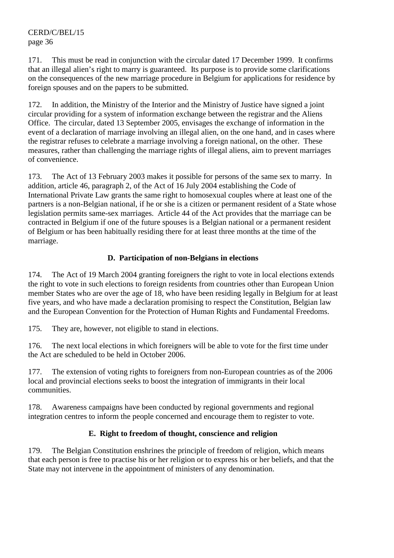171. This must be read in conjunction with the circular dated 17 December 1999. It confirms that an illegal alien's right to marry is guaranteed. Its purpose is to provide some clarifications on the consequences of the new marriage procedure in Belgium for applications for residence by foreign spouses and on the papers to be submitted.

172. In addition, the Ministry of the Interior and the Ministry of Justice have signed a joint circular providing for a system of information exchange between the registrar and the Aliens Office. The circular, dated 13 September 2005, envisages the exchange of information in the event of a declaration of marriage involving an illegal alien, on the one hand, and in cases where the registrar refuses to celebrate a marriage involving a foreign national, on the other. These measures, rather than challenging the marriage rights of illegal aliens, aim to prevent marriages of convenience.

173. The Act of 13 February 2003 makes it possible for persons of the same sex to marry. In addition, article 46, paragraph 2, of the Act of 16 July 2004 establishing the Code of International Private Law grants the same right to homosexual couples where at least one of the partners is a non-Belgian national, if he or she is a citizen or permanent resident of a State whose legislation permits same-sex marriages. Article 44 of the Act provides that the marriage can be contracted in Belgium if one of the future spouses is a Belgian national or a permanent resident of Belgium or has been habitually residing there for at least three months at the time of the marriage.

#### **D. Participation of non-Belgians in elections**

174. The Act of 19 March 2004 granting foreigners the right to vote in local elections extends the right to vote in such elections to foreign residents from countries other than European Union member States who are over the age of 18, who have been residing legally in Belgium for at least five years, and who have made a declaration promising to respect the Constitution, Belgian law and the European Convention for the Protection of Human Rights and Fundamental Freedoms.

175. They are, however, not eligible to stand in elections.

176. The next local elections in which foreigners will be able to vote for the first time under the Act are scheduled to be held in October 2006.

177. The extension of voting rights to foreigners from non-European countries as of the 2006 local and provincial elections seeks to boost the integration of immigrants in their local communities.

178. Awareness campaigns have been conducted by regional governments and regional integration centres to inform the people concerned and encourage them to register to vote.

### **E. Right to freedom of thought, conscience and religion**

179. The Belgian Constitution enshrines the principle of freedom of religion, which means that each person is free to practise his or her religion or to express his or her beliefs, and that the State may not intervene in the appointment of ministers of any denomination.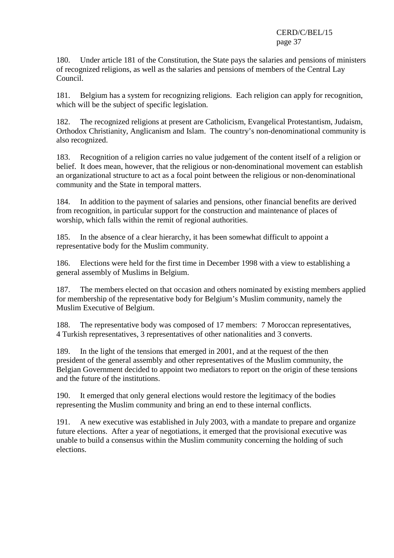180. Under article 181 of the Constitution, the State pays the salaries and pensions of ministers of recognized religions, as well as the salaries and pensions of members of the Central Lay Council.

181. Belgium has a system for recognizing religions. Each religion can apply for recognition, which will be the subject of specific legislation.

182. The recognized religions at present are Catholicism, Evangelical Protestantism, Judaism, Orthodox Christianity, Anglicanism and Islam. The country's non-denominational community is also recognized.

183. Recognition of a religion carries no value judgement of the content itself of a religion or belief. It does mean, however, that the religious or non-denominational movement can establish an organizational structure to act as a focal point between the religious or non-denominational community and the State in temporal matters.

184. In addition to the payment of salaries and pensions, other financial benefits are derived from recognition, in particular support for the construction and maintenance of places of worship, which falls within the remit of regional authorities.

185. In the absence of a clear hierarchy, it has been somewhat difficult to appoint a representative body for the Muslim community.

186. Elections were held for the first time in December 1998 with a view to establishing a general assembly of Muslims in Belgium.

187. The members elected on that occasion and others nominated by existing members applied for membership of the representative body for Belgium's Muslim community, namely the Muslim Executive of Belgium.

188. The representative body was composed of 17 members: 7 Moroccan representatives, 4 Turkish representatives, 3 representatives of other nationalities and 3 converts.

189. In the light of the tensions that emerged in 2001, and at the request of the then president of the general assembly and other representatives of the Muslim community, the Belgian Government decided to appoint two mediators to report on the origin of these tensions and the future of the institutions.

190. It emerged that only general elections would restore the legitimacy of the bodies representing the Muslim community and bring an end to these internal conflicts.

191. A new executive was established in July 2003, with a mandate to prepare and organize future elections. After a year of negotiations, it emerged that the provisional executive was unable to build a consensus within the Muslim community concerning the holding of such elections.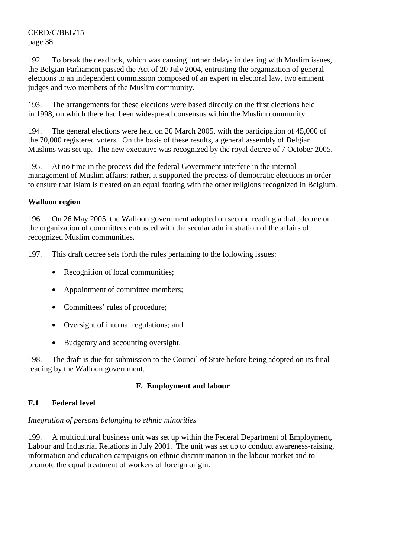192. To break the deadlock, which was causing further delays in dealing with Muslim issues, the Belgian Parliament passed the Act of 20 July 2004, entrusting the organization of general elections to an independent commission composed of an expert in electoral law, two eminent judges and two members of the Muslim community.

193. The arrangements for these elections were based directly on the first elections held in 1998, on which there had been widespread consensus within the Muslim community.

194. The general elections were held on 20 March 2005, with the participation of 45,000 of the 70,000 registered voters. On the basis of these results, a general assembly of Belgian Muslims was set up. The new executive was recognized by the royal decree of 7 October 2005.

195. At no time in the process did the federal Government interfere in the internal management of Muslim affairs; rather, it supported the process of democratic elections in order to ensure that Islam is treated on an equal footing with the other religions recognized in Belgium.

# **Walloon region**

196. On 26 May 2005, the Walloon government adopted on second reading a draft decree on the organization of committees entrusted with the secular administration of the affairs of recognized Muslim communities.

197. This draft decree sets forth the rules pertaining to the following issues:

- Recognition of local communities;
- Appointment of committee members;
- Committees' rules of procedure;
- Oversight of internal regulations; and
- Budgetary and accounting oversight.

198. The draft is due for submission to the Council of State before being adopted on its final reading by the Walloon government.

# **F. Employment and labour**

# **F.1 Federal level**

# *Integration of persons belonging to ethnic minorities*

199. A multicultural business unit was set up within the Federal Department of Employment, Labour and Industrial Relations in July 2001. The unit was set up to conduct awareness-raising, information and education campaigns on ethnic discrimination in the labour market and to promote the equal treatment of workers of foreign origin.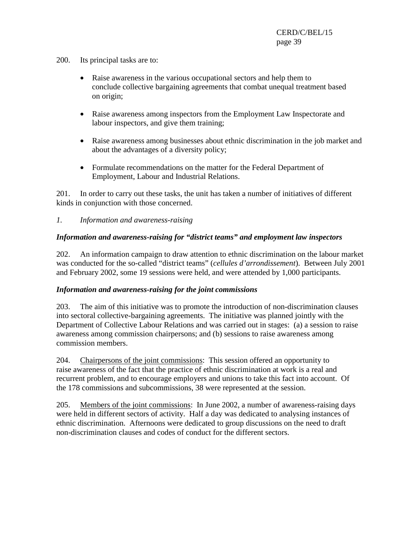- 200. Its principal tasks are to:
	- Raise awareness in the various occupational sectors and help them to conclude collective bargaining agreements that combat unequal treatment based on origin;
	- Raise awareness among inspectors from the Employment Law Inspectorate and labour inspectors, and give them training;
	- Raise awareness among businesses about ethnic discrimination in the job market and about the advantages of a diversity policy;
	- Formulate recommendations on the matter for the Federal Department of Employment, Labour and Industrial Relations.

201. In order to carry out these tasks, the unit has taken a number of initiatives of different kinds in conjunction with those concerned.

### *1. Information and awareness-raising*

### *Information and awareness-raising for "district teams" and employment law inspectors*

202. An information campaign to draw attention to ethnic discrimination on the labour market was conducted for the so-called "district teams" (*cellules d'arrondissement*). Between July 2001 and February 2002, some 19 sessions were held, and were attended by 1,000 participants.

#### *Information and awareness-raising for the joint commissions*

203. The aim of this initiative was to promote the introduction of non-discrimination clauses into sectoral collective-bargaining agreements. The initiative was planned jointly with the Department of Collective Labour Relations and was carried out in stages: (a) a session to raise awareness among commission chairpersons; and (b) sessions to raise awareness among commission members.

204. Chairpersons of the joint commissions: This session offered an opportunity to raise awareness of the fact that the practice of ethnic discrimination at work is a real and recurrent problem, and to encourage employers and unions to take this fact into account. Of the 178 commissions and subcommissions, 38 were represented at the session.

205. Members of the joint commissions: In June 2002, a number of awareness-raising days were held in different sectors of activity. Half a day was dedicated to analysing instances of ethnic discrimination. Afternoons were dedicated to group discussions on the need to draft non-discrimination clauses and codes of conduct for the different sectors.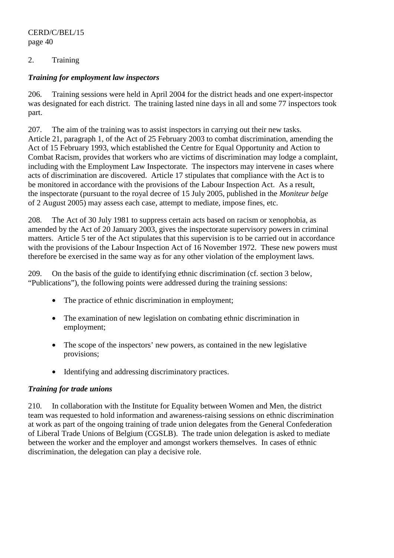# 2. Training

### *Training for employment law inspectors*

206. Training sessions were held in April 2004 for the district heads and one expert-inspector was designated for each district. The training lasted nine days in all and some 77 inspectors took part.

207. The aim of the training was to assist inspectors in carrying out their new tasks. Article 21, paragraph 1, of the Act of 25 February 2003 to combat discrimination, amending the Act of 15 February 1993, which established the Centre for Equal Opportunity and Action to Combat Racism, provides that workers who are victims of discrimination may lodge a complaint, including with the Employment Law Inspectorate. The inspectors may intervene in cases where acts of discrimination are discovered. Article 17 stipulates that compliance with the Act is to be monitored in accordance with the provisions of the Labour Inspection Act. As a result, the inspectorate (pursuant to the royal decree of 15 July 2005, published in the *Moniteur belge* of 2 August 2005) may assess each case, attempt to mediate, impose fines, etc.

208. The Act of 30 July 1981 to suppress certain acts based on racism or xenophobia, as amended by the Act of 20 January 2003, gives the inspectorate supervisory powers in criminal matters. Article 5 ter of the Act stipulates that this supervision is to be carried out in accordance with the provisions of the Labour Inspection Act of 16 November 1972. These new powers must therefore be exercised in the same way as for any other violation of the employment laws.

209. On the basis of the guide to identifying ethnic discrimination (cf. section 3 below, "Publications"), the following points were addressed during the training sessions:

- The practice of ethnic discrimination in employment;
- The examination of new legislation on combating ethnic discrimination in employment;
- The scope of the inspectors' new powers, as contained in the new legislative provisions;
- Identifying and addressing discriminatory practices.

# *Training for trade unions*

210. In collaboration with the Institute for Equality between Women and Men, the district team was requested to hold information and awareness-raising sessions on ethnic discrimination at work as part of the ongoing training of trade union delegates from the General Confederation of Liberal Trade Unions of Belgium (CGSLB). The trade union delegation is asked to mediate between the worker and the employer and amongst workers themselves. In cases of ethnic discrimination, the delegation can play a decisive role.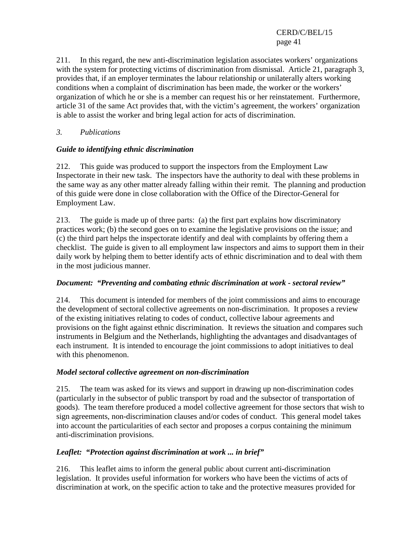211. In this regard, the new anti-discrimination legislation associates workers' organizations with the system for protecting victims of discrimination from dismissal. Article 21, paragraph 3, provides that, if an employer terminates the labour relationship or unilaterally alters working conditions when a complaint of discrimination has been made, the worker or the workers' organization of which he or she is a member can request his or her reinstatement. Furthermore, article 31 of the same Act provides that, with the victim's agreement, the workers' organization is able to assist the worker and bring legal action for acts of discrimination.

# *3. Publications*

# *Guide to identifying ethnic discrimination*

212. This guide was produced to support the inspectors from the Employment Law Inspectorate in their new task. The inspectors have the authority to deal with these problems in the same way as any other matter already falling within their remit. The planning and production of this guide were done in close collaboration with the Office of the Director-General for Employment Law.

213. The guide is made up of three parts: (a) the first part explains how discriminatory practices work; (b) the second goes on to examine the legislative provisions on the issue; and (c) the third part helps the inspectorate identify and deal with complaints by offering them a checklist. The guide is given to all employment law inspectors and aims to support them in their daily work by helping them to better identify acts of ethnic discrimination and to deal with them in the most judicious manner.

# *Document: "Preventing and combating ethnic discrimination at work - sectoral review"*

214. This document is intended for members of the joint commissions and aims to encourage the development of sectoral collective agreements on non-discrimination. It proposes a review of the existing initiatives relating to codes of conduct, collective labour agreements and provisions on the fight against ethnic discrimination. It reviews the situation and compares such instruments in Belgium and the Netherlands, highlighting the advantages and disadvantages of each instrument. It is intended to encourage the joint commissions to adopt initiatives to deal with this phenomenon.

# *Model sectoral collective agreement on non-discrimination*

215. The team was asked for its views and support in drawing up non-discrimination codes (particularly in the subsector of public transport by road and the subsector of transportation of goods). The team therefore produced a model collective agreement for those sectors that wish to sign agreements, non-discrimination clauses and/or codes of conduct. This general model takes into account the particularities of each sector and proposes a corpus containing the minimum anti-discrimination provisions.

# *Leaflet: "Protection against discrimination at work ... in brief"*

216. This leaflet aims to inform the general public about current anti-discrimination legislation. It provides useful information for workers who have been the victims of acts of discrimination at work, on the specific action to take and the protective measures provided for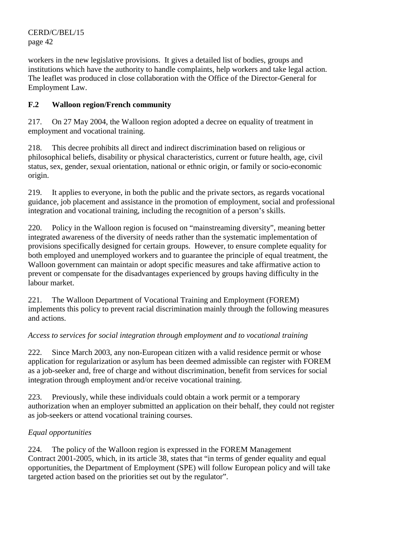workers in the new legislative provisions. It gives a detailed list of bodies, groups and institutions which have the authority to handle complaints, help workers and take legal action. The leaflet was produced in close collaboration with the Office of the Director-General for Employment Law.

# **F.2 Walloon region/French community**

217. On 27 May 2004, the Walloon region adopted a decree on equality of treatment in employment and vocational training.

218. This decree prohibits all direct and indirect discrimination based on religious or philosophical beliefs, disability or physical characteristics, current or future health, age, civil status, sex, gender, sexual orientation, national or ethnic origin, or family or socio-economic origin.

219. It applies to everyone, in both the public and the private sectors, as regards vocational guidance, job placement and assistance in the promotion of employment, social and professional integration and vocational training, including the recognition of a person's skills.

220. Policy in the Walloon region is focused on "mainstreaming diversity", meaning better integrated awareness of the diversity of needs rather than the systematic implementation of provisions specifically designed for certain groups. However, to ensure complete equality for both employed and unemployed workers and to guarantee the principle of equal treatment, the Walloon government can maintain or adopt specific measures and take affirmative action to prevent or compensate for the disadvantages experienced by groups having difficulty in the labour market.

221. The Walloon Department of Vocational Training and Employment (FOREM) implements this policy to prevent racial discrimination mainly through the following measures and actions.

# *Access to services for social integration through employment and to vocational training*

222. Since March 2003, any non-European citizen with a valid residence permit or whose application for regularization or asylum has been deemed admissible can register with FOREM as a job-seeker and, free of charge and without discrimination, benefit from services for social integration through employment and/or receive vocational training.

223. Previously, while these individuals could obtain a work permit or a temporary authorization when an employer submitted an application on their behalf, they could not register as job-seekers or attend vocational training courses.

# *Equal opportunities*

224. The policy of the Walloon region is expressed in the FOREM Management Contract 2001-2005, which, in its article 38, states that "in terms of gender equality and equal opportunities, the Department of Employment (SPE) will follow European policy and will take targeted action based on the priorities set out by the regulator".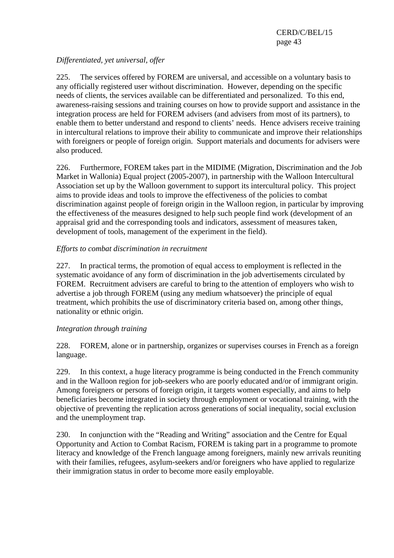# *Differentiated, yet universal, offer*

225. The services offered by FOREM are universal, and accessible on a voluntary basis to any officially registered user without discrimination. However, depending on the specific needs of clients, the services available can be differentiated and personalized. To this end, awareness-raising sessions and training courses on how to provide support and assistance in the integration process are held for FOREM advisers (and advisers from most of its partners), to enable them to better understand and respond to clients' needs. Hence advisers receive training in intercultural relations to improve their ability to communicate and improve their relationships with foreigners or people of foreign origin. Support materials and documents for advisers were also produced.

226. Furthermore, FOREM takes part in the MIDIME (Migration, Discrimination and the Job Market in Wallonia) Equal project (2005-2007), in partnership with the Walloon Intercultural Association set up by the Walloon government to support its intercultural policy. This project aims to provide ideas and tools to improve the effectiveness of the policies to combat discrimination against people of foreign origin in the Walloon region, in particular by improving the effectiveness of the measures designed to help such people find work (development of an appraisal grid and the corresponding tools and indicators, assessment of measures taken, development of tools, management of the experiment in the field).

# *Efforts to combat discrimination in recruitment*

227. In practical terms, the promotion of equal access to employment is reflected in the systematic avoidance of any form of discrimination in the job advertisements circulated by FOREM. Recruitment advisers are careful to bring to the attention of employers who wish to advertise a job through FOREM (using any medium whatsoever) the principle of equal treatment, which prohibits the use of discriminatory criteria based on, among other things, nationality or ethnic origin.

# *Integration through training*

228. FOREM, alone or in partnership, organizes or supervises courses in French as a foreign language.

229. In this context, a huge literacy programme is being conducted in the French community and in the Walloon region for job-seekers who are poorly educated and/or of immigrant origin. Among foreigners or persons of foreign origin, it targets women especially, and aims to help beneficiaries become integrated in society through employment or vocational training, with the objective of preventing the replication across generations of social inequality, social exclusion and the unemployment trap.

230. In conjunction with the "Reading and Writing" association and the Centre for Equal Opportunity and Action to Combat Racism, FOREM is taking part in a programme to promote literacy and knowledge of the French language among foreigners, mainly new arrivals reuniting with their families, refugees, asylum-seekers and/or foreigners who have applied to regularize their immigration status in order to become more easily employable.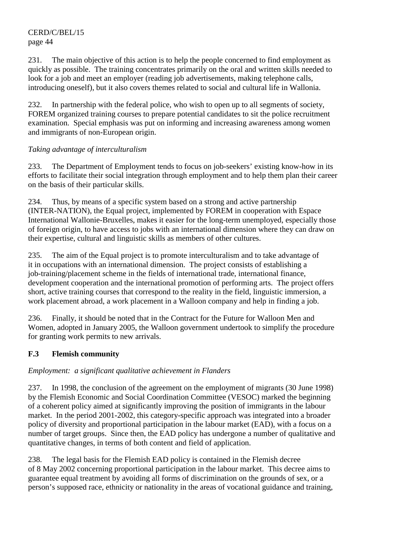231. The main objective of this action is to help the people concerned to find employment as quickly as possible. The training concentrates primarily on the oral and written skills needed to look for a job and meet an employer (reading job advertisements, making telephone calls, introducing oneself), but it also covers themes related to social and cultural life in Wallonia.

232. In partnership with the federal police, who wish to open up to all segments of society, FOREM organized training courses to prepare potential candidates to sit the police recruitment examination. Special emphasis was put on informing and increasing awareness among women and immigrants of non-European origin.

# *Taking advantage of interculturalism*

233. The Department of Employment tends to focus on job-seekers' existing know-how in its efforts to facilitate their social integration through employment and to help them plan their career on the basis of their particular skills.

234. Thus, by means of a specific system based on a strong and active partnership (INTER-NATION), the Equal project, implemented by FOREM in cooperation with Espace International Wallonie-Bruxelles, makes it easier for the long-term unemployed, especially those of foreign origin, to have access to jobs with an international dimension where they can draw on their expertise, cultural and linguistic skills as members of other cultures.

235. The aim of the Equal project is to promote interculturalism and to take advantage of it in occupations with an international dimension. The project consists of establishing a job-training/placement scheme in the fields of international trade, international finance, development cooperation and the international promotion of performing arts. The project offers short, active training courses that correspond to the reality in the field, linguistic immersion, a work placement abroad, a work placement in a Walloon company and help in finding a job.

236. Finally, it should be noted that in the Contract for the Future for Walloon Men and Women, adopted in January 2005, the Walloon government undertook to simplify the procedure for granting work permits to new arrivals.

# **F.3 Flemish community**

# *Employment: a significant qualitative achievement in Flanders*

237. In 1998, the conclusion of the agreement on the employment of migrants (30 June 1998) by the Flemish Economic and Social Coordination Committee (VESOC) marked the beginning of a coherent policy aimed at significantly improving the position of immigrants in the labour market. In the period 2001-2002, this category-specific approach was integrated into a broader policy of diversity and proportional participation in the labour market (EAD), with a focus on a number of target groups. Since then, the EAD policy has undergone a number of qualitative and quantitative changes, in terms of both content and field of application.

238. The legal basis for the Flemish EAD policy is contained in the Flemish decree of 8 May 2002 concerning proportional participation in the labour market. This decree aims to guarantee equal treatment by avoiding all forms of discrimination on the grounds of sex, or a person's supposed race, ethnicity or nationality in the areas of vocational guidance and training,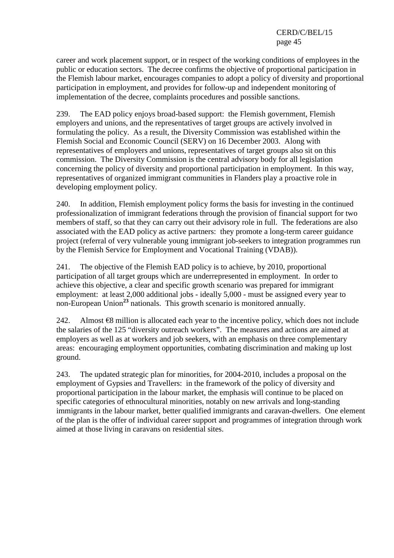career and work placement support, or in respect of the working conditions of employees in the public or education sectors. The decree confirms the objective of proportional participation in the Flemish labour market, encourages companies to adopt a policy of diversity and proportional participation in employment, and provides for follow-up and independent monitoring of implementation of the decree, complaints procedures and possible sanctions.

239. The EAD policy enjoys broad-based support: the Flemish government, Flemish employers and unions, and the representatives of target groups are actively involved in formulating the policy. As a result, the Diversity Commission was established within the Flemish Social and Economic Council (SERV) on 16 December 2003. Along with representatives of employers and unions, representatives of target groups also sit on this commission. The Diversity Commission is the central advisory body for all legislation concerning the policy of diversity and proportional participation in employment. In this way, representatives of organized immigrant communities in Flanders play a proactive role in developing employment policy.

240. In addition, Flemish employment policy forms the basis for investing in the continued professionalization of immigrant federations through the provision of financial support for two members of staff, so that they can carry out their advisory role in full. The federations are also associated with the EAD policy as active partners: they promote a long-term career guidance project (referral of very vulnerable young immigrant job-seekers to integration programmes run by the Flemish Service for Employment and Vocational Training (VDAB)).

241. The objective of the Flemish EAD policy is to achieve, by 2010, proportional participation of all target groups which are underrepresented in employment. In order to achieve this objective, a clear and specific growth scenario was prepared for immigrant employment: at least 2,000 additional jobs - ideally 5,000 - must be assigned every year to non-European Union**<sup>23</sup>** nationals. This growth scenario is monitored annually.

242. Almost  $\epsilon$ 8 million is allocated each year to the incentive policy, which does not include the salaries of the 125 "diversity outreach workers". The measures and actions are aimed at employers as well as at workers and job seekers, with an emphasis on three complementary areas: encouraging employment opportunities, combating discrimination and making up lost ground.

243. The updated strategic plan for minorities, for 2004-2010, includes a proposal on the employment of Gypsies and Travellers: in the framework of the policy of diversity and proportional participation in the labour market, the emphasis will continue to be placed on specific categories of ethnocultural minorities, notably on new arrivals and long-standing immigrants in the labour market, better qualified immigrants and caravan-dwellers. One element of the plan is the offer of individual career support and programmes of integration through work aimed at those living in caravans on residential sites.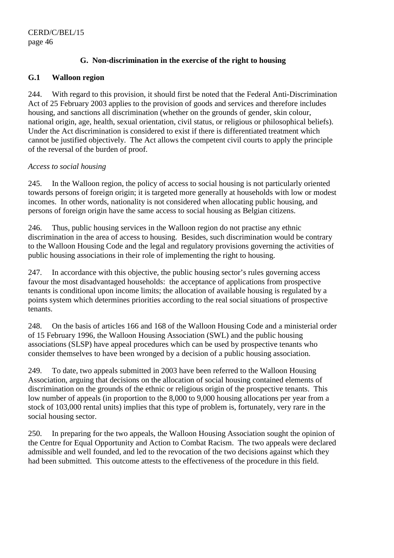# **G. Non-discrimination in the exercise of the right to housing**

### **G.1 Walloon region**

244. With regard to this provision, it should first be noted that the Federal Anti-Discrimination Act of 25 February 2003 applies to the provision of goods and services and therefore includes housing, and sanctions all discrimination (whether on the grounds of gender, skin colour, national origin, age, health, sexual orientation, civil status, or religious or philosophical beliefs). Under the Act discrimination is considered to exist if there is differentiated treatment which cannot be justified objectively. The Act allows the competent civil courts to apply the principle of the reversal of the burden of proof.

### *Access to social housing*

245. In the Walloon region, the policy of access to social housing is not particularly oriented towards persons of foreign origin; it is targeted more generally at households with low or modest incomes. In other words, nationality is not considered when allocating public housing, and persons of foreign origin have the same access to social housing as Belgian citizens.

246. Thus, public housing services in the Walloon region do not practise any ethnic discrimination in the area of access to housing. Besides, such discrimination would be contrary to the Walloon Housing Code and the legal and regulatory provisions governing the activities of public housing associations in their role of implementing the right to housing.

247. In accordance with this objective, the public housing sector's rules governing access favour the most disadvantaged households: the acceptance of applications from prospective tenants is conditional upon income limits; the allocation of available housing is regulated by a points system which determines priorities according to the real social situations of prospective tenants.

248. On the basis of articles 166 and 168 of the Walloon Housing Code and a ministerial order of 15 February 1996, the Walloon Housing Association (SWL) and the public housing associations (SLSP) have appeal procedures which can be used by prospective tenants who consider themselves to have been wronged by a decision of a public housing association.

249. To date, two appeals submitted in 2003 have been referred to the Walloon Housing Association, arguing that decisions on the allocation of social housing contained elements of discrimination on the grounds of the ethnic or religious origin of the prospective tenants. This low number of appeals (in proportion to the 8,000 to 9,000 housing allocations per year from a stock of 103,000 rental units) implies that this type of problem is, fortunately, very rare in the social housing sector.

250. In preparing for the two appeals, the Walloon Housing Association sought the opinion of the Centre for Equal Opportunity and Action to Combat Racism. The two appeals were declared admissible and well founded, and led to the revocation of the two decisions against which they had been submitted. This outcome attests to the effectiveness of the procedure in this field.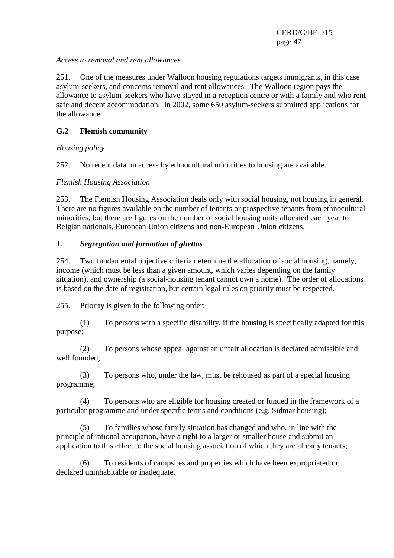### *Access to removal and rent allowances*

251. One of the measures under Walloon housing regulations targets immigrants, in this case asylum-seekers, and concerns removal and rent allowances. The Walloon region pays the allowance to asylum-seekers who have stayed in a reception centre or with a family and who rent safe and decent accommodation. In 2002, some 650 asylum-seekers submitted applications for the allowance.

# **G.2 Flemish community**

*Housing policy* 

252. No recent data on access by ethnocultural minorities to housing are available.

# *Flemish Housing Association*

253. The Flemish Housing Association deals only with social housing, not housing in general. There are no figures available on the number of tenants or prospective tenants from ethnocultural minorities, but there are figures on the number of social housing units allocated each year to Belgian nationals, European Union citizens and non-European Union citizens.

# *1. Segregation and formation of ghettos*

254. Two fundamental objective criteria determine the allocation of social housing, namely, income (which must be less than a given amount, which varies depending on the family situation), and ownership (a social-housing tenant cannot own a home). The order of allocations is based on the date of registration, but certain legal rules on priority must be respected.

255. Priority is given in the following order:

 (1) To persons with a specific disability, if the housing is specifically adapted for this purpose;

 (2) To persons whose appeal against an unfair allocation is declared admissible and well founded;

 (3) To persons who, under the law, must be rehoused as part of a special housing programme;

 (4) To persons who are eligible for housing created or funded in the framework of a particular programme and under specific terms and conditions (e.g. Sidmar housing);

 (5) To families whose family situation has changed and who, in line with the principle of rational occupation, have a right to a larger or smaller house and submit an application to this effect to the social housing association of which they are already tenants;

 (6) To residents of campsites and properties which have been expropriated or declared uninhabitable or inadequate.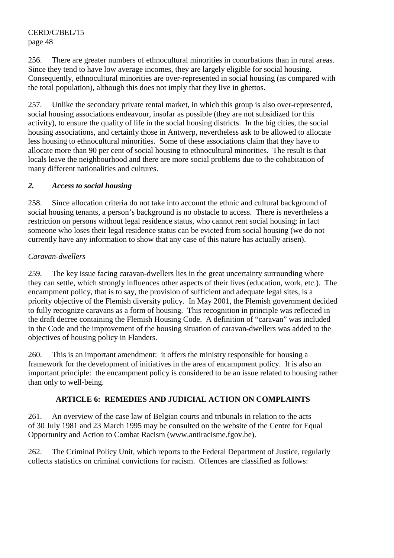256. There are greater numbers of ethnocultural minorities in conurbations than in rural areas. Since they tend to have low average incomes, they are largely eligible for social housing. Consequently, ethnocultural minorities are over-represented in social housing (as compared with the total population), although this does not imply that they live in ghettos.

257. Unlike the secondary private rental market, in which this group is also over-represented, social housing associations endeavour, insofar as possible (they are not subsidized for this activity), to ensure the quality of life in the social housing districts. In the big cities, the social housing associations, and certainly those in Antwerp, nevertheless ask to be allowed to allocate less housing to ethnocultural minorities. Some of these associations claim that they have to allocate more than 90 per cent of social housing to ethnocultural minorities. The result is that locals leave the neighbourhood and there are more social problems due to the cohabitation of many different nationalities and cultures.

# *2. Access to social housing*

258. Since allocation criteria do not take into account the ethnic and cultural background of social housing tenants, a person's background is no obstacle to access. There is nevertheless a restriction on persons without legal residence status, who cannot rent social housing; in fact someone who loses their legal residence status can be evicted from social housing (we do not currently have any information to show that any case of this nature has actually arisen).

# *Caravan-dwellers*

259. The key issue facing caravan-dwellers lies in the great uncertainty surrounding where they can settle, which strongly influences other aspects of their lives (education, work, etc.). The encampment policy, that is to say, the provision of sufficient and adequate legal sites, is a priority objective of the Flemish diversity policy. In May 2001, the Flemish government decided to fully recognize caravans as a form of housing. This recognition in principle was reflected in the draft decree containing the Flemish Housing Code. A definition of "caravan" was included in the Code and the improvement of the housing situation of caravan-dwellers was added to the objectives of housing policy in Flanders.

260. This is an important amendment: it offers the ministry responsible for housing a framework for the development of initiatives in the area of encampment policy. It is also an important principle: the encampment policy is considered to be an issue related to housing rather than only to well-being.

# **ARTICLE 6: REMEDIES AND JUDICIAL ACTION ON COMPLAINTS**

261. An overview of the case law of Belgian courts and tribunals in relation to the acts of 30 July 1981 and 23 March 1995 may be consulted on the website of the Centre for Equal Opportunity and Action to Combat Racism (www.antiracisme.fgov.be).

262. The Criminal Policy Unit, which reports to the Federal Department of Justice, regularly collects statistics on criminal convictions for racism. Offences are classified as follows: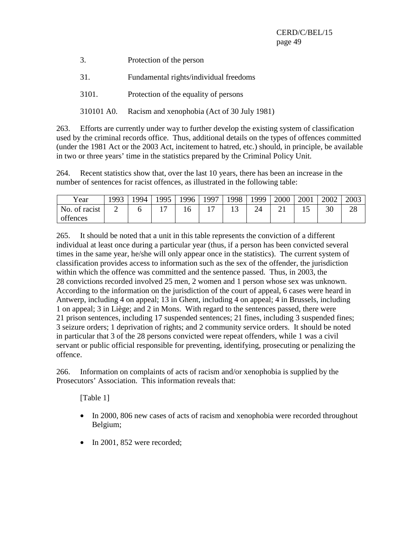| 3. | Protection of the person |
|----|--------------------------|
|----|--------------------------|

- 31. Fundamental rights/individual freedoms
- 3101. Protection of the equality of persons
- 310101 A0. Racism and xenophobia (Act of 30 July 1981)

263. Efforts are currently under way to further develop the existing system of classification used by the criminal records office. Thus, additional details on the types of offences committed (under the 1981 Act or the 2003 Act, incitement to hatred, etc.) should, in principle, be available in two or three years' time in the statistics prepared by the Criminal Policy Unit.

264. Recent statistics show that, over the last 10 years, there has been an increase in the number of sentences for racist offences, as illustrated in the following table:

| Year          | 1993 | 994 | 1995 | 1996 | 1997           | 1998 | 1999   | 2000 | 2001 | 2002 | 2003 |
|---------------|------|-----|------|------|----------------|------|--------|------|------|------|------|
| No. of racist | ∽    |     | —    |      | $\overline{ }$ |      | $2\pi$ | ້⊥   | ∸    | 30   | 28   |
| offences      |      |     |      |      |                |      |        |      |      |      |      |

265. It should be noted that a unit in this table represents the conviction of a different individual at least once during a particular year (thus, if a person has been convicted several times in the same year, he/she will only appear once in the statistics). The current system of classification provides access to information such as the sex of the offender, the jurisdiction within which the offence was committed and the sentence passed. Thus, in 2003, the 28 convictions recorded involved 25 men, 2 women and 1 person whose sex was unknown. According to the information on the jurisdiction of the court of appeal, 6 cases were heard in Antwerp, including 4 on appeal; 13 in Ghent, including 4 on appeal; 4 in Brussels, including 1 on appeal; 3 in Liège; and 2 in Mons. With regard to the sentences passed, there were 21 prison sentences, including 17 suspended sentences; 21 fines, including 3 suspended fines; 3 seizure orders; 1 deprivation of rights; and 2 community service orders. It should be noted in particular that 3 of the 28 persons convicted were repeat offenders, while 1 was a civil servant or public official responsible for preventing, identifying, prosecuting or penalizing the offence.

266. Information on complaints of acts of racism and/or xenophobia is supplied by the Prosecutors' Association. This information reveals that:

[Table 1]

- In 2000, 806 new cases of acts of racism and xenophobia were recorded throughout Belgium;
- In 2001, 852 were recorded;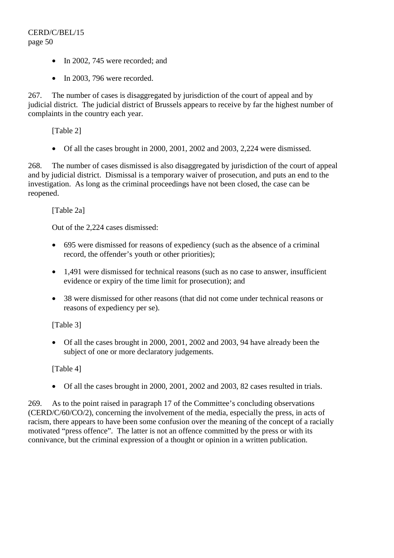- In 2002, 745 were recorded; and
- In 2003, 796 were recorded.

267. The number of cases is disaggregated by jurisdiction of the court of appeal and by judicial district. The judicial district of Brussels appears to receive by far the highest number of complaints in the country each year.

[Table 2]

• Of all the cases brought in 2000, 2001, 2002 and 2003, 2,224 were dismissed.

268. The number of cases dismissed is also disaggregated by jurisdiction of the court of appeal and by judicial district. Dismissal is a temporary waiver of prosecution, and puts an end to the investigation. As long as the criminal proceedings have not been closed, the case can be reopened.

[Table 2a]

Out of the 2,224 cases dismissed:

- 695 were dismissed for reasons of expediency (such as the absence of a criminal record, the offender's youth or other priorities);
- 1,491 were dismissed for technical reasons (such as no case to answer, insufficient evidence or expiry of the time limit for prosecution); and
- 38 were dismissed for other reasons (that did not come under technical reasons or reasons of expediency per se).

# [Table 3]

• Of all the cases brought in 2000, 2001, 2002 and 2003, 94 have already been the subject of one or more declaratory judgements.

# [Table 4]

• Of all the cases brought in 2000, 2001, 2002 and 2003, 82 cases resulted in trials.

269. As to the point raised in paragraph 17 of the Committee's concluding observations (CERD/C/60/CO/2), concerning the involvement of the media, especially the press, in acts of racism, there appears to have been some confusion over the meaning of the concept of a racially motivated "press offence". The latter is not an offence committed by the press or with its connivance, but the criminal expression of a thought or opinion in a written publication.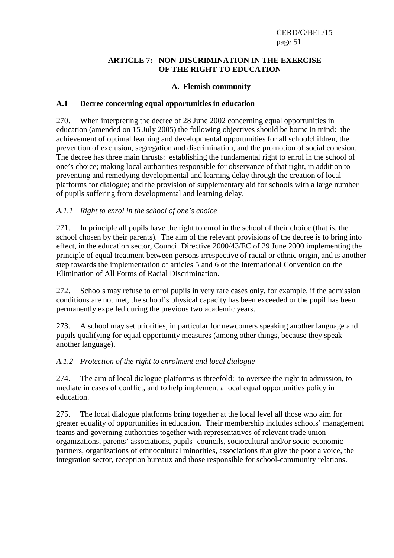### **ARTICLE 7: NON-DISCRIMINATION IN THE EXERCISE OF THE RIGHT TO EDUCATION**

# **A. Flemish community**

### **A.1 Decree concerning equal opportunities in education**

270. When interpreting the decree of 28 June 2002 concerning equal opportunities in education (amended on 15 July 2005) the following objectives should be borne in mind: the achievement of optimal learning and developmental opportunities for all schoolchildren, the prevention of exclusion, segregation and discrimination, and the promotion of social cohesion. The decree has three main thrusts: establishing the fundamental right to enrol in the school of one's choice; making local authorities responsible for observance of that right, in addition to preventing and remedying developmental and learning delay through the creation of local platforms for dialogue; and the provision of supplementary aid for schools with a large number of pupils suffering from developmental and learning delay.

# *A.1.1 Right to enrol in the school of one's choice*

271. In principle all pupils have the right to enrol in the school of their choice (that is, the school chosen by their parents). The aim of the relevant provisions of the decree is to bring into effect, in the education sector, Council Directive 2000/43/EC of 29 June 2000 implementing the principle of equal treatment between persons irrespective of racial or ethnic origin, and is another step towards the implementation of articles 5 and 6 of the International Convention on the Elimination of All Forms of Racial Discrimination.

272. Schools may refuse to enrol pupils in very rare cases only, for example, if the admission conditions are not met, the school's physical capacity has been exceeded or the pupil has been permanently expelled during the previous two academic years.

273. A school may set priorities, in particular for newcomers speaking another language and pupils qualifying for equal opportunity measures (among other things, because they speak another language).

# *A.1.2 Protection of the right to enrolment and local dialogue*

274. The aim of local dialogue platforms is threefold: to oversee the right to admission, to mediate in cases of conflict, and to help implement a local equal opportunities policy in education.

275. The local dialogue platforms bring together at the local level all those who aim for greater equality of opportunities in education. Their membership includes schools' management teams and governing authorities together with representatives of relevant trade union organizations, parents' associations, pupils' councils, sociocultural and/or socio-economic partners, organizations of ethnocultural minorities, associations that give the poor a voice, the integration sector, reception bureaux and those responsible for school-community relations.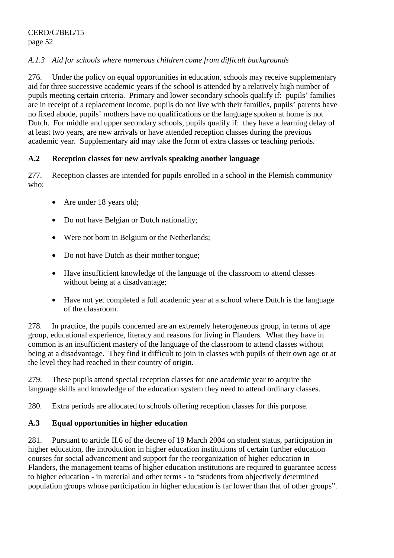# *A.1.3 Aid for schools where numerous children come from difficult backgrounds*

276. Under the policy on equal opportunities in education, schools may receive supplementary aid for three successive academic years if the school is attended by a relatively high number of pupils meeting certain criteria. Primary and lower secondary schools qualify if: pupils' families are in receipt of a replacement income, pupils do not live with their families, pupils' parents have no fixed abode, pupils' mothers have no qualifications or the language spoken at home is not Dutch. For middle and upper secondary schools, pupils qualify if: they have a learning delay of at least two years, are new arrivals or have attended reception classes during the previous academic year. Supplementary aid may take the form of extra classes or teaching periods.

# **A.2 Reception classes for new arrivals speaking another language**

277. Reception classes are intended for pupils enrolled in a school in the Flemish community who:

- Are under 18 years old;
- Do not have Belgian or Dutch nationality;
- Were not born in Belgium or the Netherlands;
- Do not have Dutch as their mother tongue;
- Have insufficient knowledge of the language of the classroom to attend classes without being at a disadvantage;
- Have not yet completed a full academic year at a school where Dutch is the language of the classroom.

278. In practice, the pupils concerned are an extremely heterogeneous group, in terms of age group, educational experience, literacy and reasons for living in Flanders. What they have in common is an insufficient mastery of the language of the classroom to attend classes without being at a disadvantage. They find it difficult to join in classes with pupils of their own age or at the level they had reached in their country of origin.

279. These pupils attend special reception classes for one academic year to acquire the language skills and knowledge of the education system they need to attend ordinary classes.

280. Extra periods are allocated to schools offering reception classes for this purpose.

# **A.3 Equal opportunities in higher education**

281. Pursuant to article II.6 of the decree of 19 March 2004 on student status, participation in higher education, the introduction in higher education institutions of certain further education courses for social advancement and support for the reorganization of higher education in Flanders, the management teams of higher education institutions are required to guarantee access to higher education - in material and other terms - to "students from objectively determined population groups whose participation in higher education is far lower than that of other groups".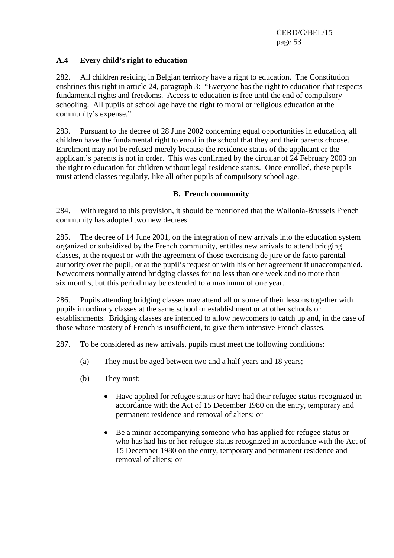# **A.4 Every child's right to education**

282. All children residing in Belgian territory have a right to education. The Constitution enshrines this right in article 24, paragraph 3: "Everyone has the right to education that respects fundamental rights and freedoms. Access to education is free until the end of compulsory schooling. All pupils of school age have the right to moral or religious education at the community's expense."

283. Pursuant to the decree of 28 June 2002 concerning equal opportunities in education, all children have the fundamental right to enrol in the school that they and their parents choose. Enrolment may not be refused merely because the residence status of the applicant or the applicant's parents is not in order. This was confirmed by the circular of 24 February 2003 on the right to education for children without legal residence status. Once enrolled, these pupils must attend classes regularly, like all other pupils of compulsory school age.

### **B. French community**

284. With regard to this provision, it should be mentioned that the Wallonia-Brussels French community has adopted two new decrees.

285. The decree of 14 June 2001, on the integration of new arrivals into the education system organized or subsidized by the French community, entitles new arrivals to attend bridging classes, at the request or with the agreement of those exercising de jure or de facto parental authority over the pupil, or at the pupil's request or with his or her agreement if unaccompanied. Newcomers normally attend bridging classes for no less than one week and no more than six months, but this period may be extended to a maximum of one year.

286. Pupils attending bridging classes may attend all or some of their lessons together with pupils in ordinary classes at the same school or establishment or at other schools or establishments. Bridging classes are intended to allow newcomers to catch up and, in the case of those whose mastery of French is insufficient, to give them intensive French classes.

287. To be considered as new arrivals, pupils must meet the following conditions:

- (a) They must be aged between two and a half years and 18 years;
- (b) They must:
	- Have applied for refugee status or have had their refugee status recognized in accordance with the Act of 15 December 1980 on the entry, temporary and permanent residence and removal of aliens; or
	- Be a minor accompanying someone who has applied for refugee status or who has had his or her refugee status recognized in accordance with the Act of 15 December 1980 on the entry, temporary and permanent residence and removal of aliens; or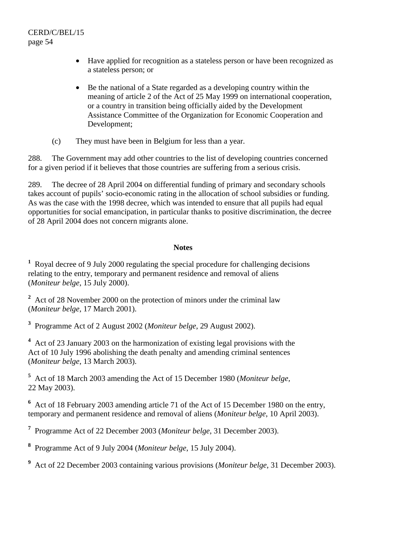- Have applied for recognition as a stateless person or have been recognized as a stateless person; or
- Be the national of a State regarded as a developing country within the meaning of article 2 of the Act of 25 May 1999 on international cooperation, or a country in transition being officially aided by the Development Assistance Committee of the Organization for Economic Cooperation and Development;
- (c) They must have been in Belgium for less than a year.

288. The Government may add other countries to the list of developing countries concerned for a given period if it believes that those countries are suffering from a serious crisis.

289. The decree of 28 April 2004 on differential funding of primary and secondary schools takes account of pupils' socio-economic rating in the allocation of school subsidies or funding. As was the case with the 1998 decree, which was intended to ensure that all pupils had equal opportunities for social emancipation, in particular thanks to positive discrimination, the decree of 28 April 2004 does not concern migrants alone.

### **Notes**

<sup>1</sup> Royal decree of 9 July 2000 regulating the special procedure for challenging decisions relating to the entry, temporary and permanent residence and removal of aliens (*Moniteur belge*, 15 July 2000).

<sup>2</sup> Act of 28 November 2000 on the protection of minors under the criminal law (*Moniteur belge*, 17 March 2001).

**3** Programme Act of 2 August 2002 (*Moniteur belge*, 29 August 2002).

<sup>4</sup> Act of 23 January 2003 on the harmonization of existing legal provisions with the Act of 10 July 1996 abolishing the death penalty and amending criminal sentences (*Moniteur belge*, 13 March 2003).

**5** Act of 18 March 2003 amending the Act of 15 December 1980 (*Moniteur belge,*  22 May 2003).

**6** Act of 18 February 2003 amending article 71 of the Act of 15 December 1980 on the entry, temporary and permanent residence and removal of aliens (*Moniteur belge*, 10 April 2003).

**7** Programme Act of 22 December 2003 (*Moniteur belge*, 31 December 2003).

**8** Programme Act of 9 July 2004 (*Moniteur belge*, 15 July 2004).

**9** Act of 22 December 2003 containing various provisions (*Moniteur belge*, 31 December 2003).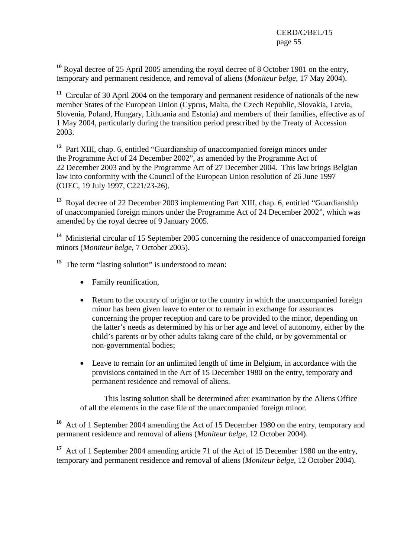**<sup>10</sup>** Royal decree of 25 April 2005 amending the royal decree of 8 October 1981 on the entry, temporary and permanent residence, and removal of aliens (*Moniteur belge*, 17 May 2004).

**<sup>11</sup>** Circular of 30 April 2004 on the temporary and permanent residence of nationals of the new member States of the European Union (Cyprus, Malta, the Czech Republic, Slovakia, Latvia, Slovenia, Poland, Hungary, Lithuania and Estonia) and members of their families, effective as of 1 May 2004, particularly during the transition period prescribed by the Treaty of Accession 2003.

**<sup>12</sup>** Part XIII, chap. 6, entitled "Guardianship of unaccompanied foreign minors under the Programme Act of 24 December 2002", as amended by the Programme Act of 22 December 2003 and by the Programme Act of 27 December 2004. This law brings Belgian law into conformity with the Council of the European Union resolution of 26 June 1997 (OJEC, 19 July 1997, C221/23-26).

**<sup>13</sup>** Royal decree of 22 December 2003 implementing Part XIII, chap. 6, entitled "Guardianship of unaccompanied foreign minors under the Programme Act of 24 December 2002", which was amended by the royal decree of 9 January 2005.

**<sup>14</sup>** Ministerial circular of 15 September 2005 concerning the residence of unaccompanied foreign minors (*Moniteur belge*, 7 October 2005).

<sup>15</sup> The term "lasting solution" is understood to mean:

- Family reunification,
- Return to the country of origin or to the country in which the unaccompanied foreign minor has been given leave to enter or to remain in exchange for assurances concerning the proper reception and care to be provided to the minor, depending on the latter's needs as determined by his or her age and level of autonomy, either by the child's parents or by other adults taking care of the child, or by governmental or non-governmental bodies;
- Leave to remain for an unlimited length of time in Belgium, in accordance with the provisions contained in the Act of 15 December 1980 on the entry, temporary and permanent residence and removal of aliens.

 This lasting solution shall be determined after examination by the Aliens Office of all the elements in the case file of the unaccompanied foreign minor.

**<sup>16</sup>** Act of 1 September 2004 amending the Act of 15 December 1980 on the entry, temporary and permanent residence and removal of aliens (*Moniteur belge*, 12 October 2004).

**<sup>17</sup>** Act of 1 September 2004 amending article 71 of the Act of 15 December 1980 on the entry, temporary and permanent residence and removal of aliens (*Moniteur belge*, 12 October 2004).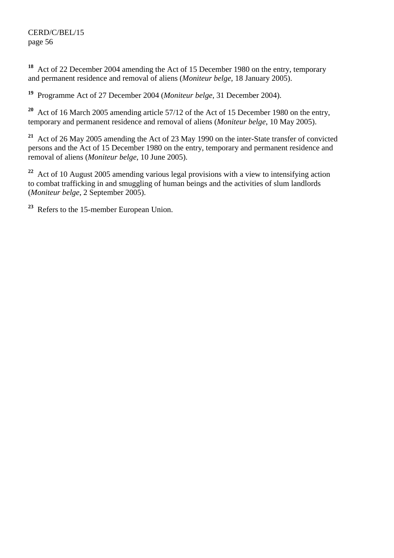**<sup>18</sup>** Act of 22 December 2004 amending the Act of 15 December 1980 on the entry, temporary and permanent residence and removal of aliens (*Moniteur belge*, 18 January 2005).

**<sup>19</sup>** Programme Act of 27 December 2004 (*Moniteur belge*, 31 December 2004).

**<sup>20</sup>** Act of 16 March 2005 amending article 57/12 of the Act of 15 December 1980 on the entry, temporary and permanent residence and removal of aliens (*Moniteur belge*, 10 May 2005).

**<sup>21</sup>** Act of 26 May 2005 amending the Act of 23 May 1990 on the inter-State transfer of convicted persons and the Act of 15 December 1980 on the entry, temporary and permanent residence and removal of aliens (*Moniteur belge*, 10 June 2005).

**<sup>22</sup>** Act of 10 August 2005 amending various legal provisions with a view to intensifying action to combat trafficking in and smuggling of human beings and the activities of slum landlords (*Moniteur belge*, 2 September 2005).

**<sup>23</sup>** Refers to the 15-member European Union.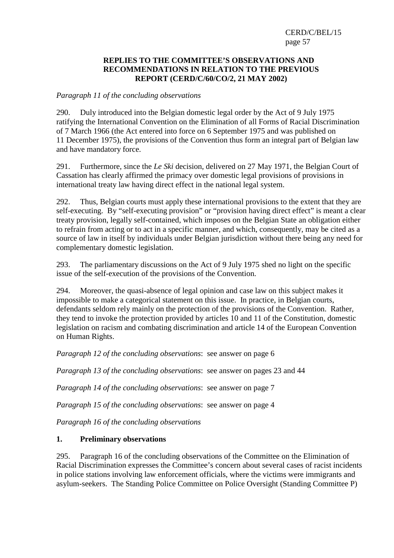#### **REPLIES TO THE COMMITTEE'S OBSERVATIONS AND RECOMMENDATIONS IN RELATION TO THE PREVIOUS REPORT (CERD/C/60/CO/2, 21 MAY 2002)**

#### *Paragraph 11 of the concluding observations*

290. Duly introduced into the Belgian domestic legal order by the Act of 9 July 1975 ratifying the International Convention on the Elimination of all Forms of Racial Discrimination of 7 March 1966 (the Act entered into force on 6 September 1975 and was published on 11 December 1975), the provisions of the Convention thus form an integral part of Belgian law and have mandatory force.

291. Furthermore, since the *Le Ski* decision, delivered on 27 May 1971, the Belgian Court of Cassation has clearly affirmed the primacy over domestic legal provisions of provisions in international treaty law having direct effect in the national legal system.

292. Thus, Belgian courts must apply these international provisions to the extent that they are self-executing. By "self-executing provision" or "provision having direct effect" is meant a clear treaty provision, legally self-contained, which imposes on the Belgian State an obligation either to refrain from acting or to act in a specific manner, and which, consequently, may be cited as a source of law in itself by individuals under Belgian jurisdiction without there being any need for complementary domestic legislation.

293. The parliamentary discussions on the Act of 9 July 1975 shed no light on the specific issue of the self-execution of the provisions of the Convention.

294. Moreover, the quasi-absence of legal opinion and case law on this subject makes it impossible to make a categorical statement on this issue. In practice, in Belgian courts, defendants seldom rely mainly on the protection of the provisions of the Convention. Rather, they tend to invoke the protection provided by articles 10 and 11 of the Constitution, domestic legislation on racism and combating discrimination and article 14 of the European Convention on Human Rights.

*Paragraph 12 of the concluding observations*: see answer on page 6

*Paragraph 13 of the concluding observations*: see answer on pages 23 and 44

*Paragraph 14 of the concluding observations*: see answer on page 7

*Paragraph 15 of the concluding observations*: see answer on page 4

*Paragraph 16 of the concluding observations* 

# **1. Preliminary observations**

295. Paragraph 16 of the concluding observations of the Committee on the Elimination of Racial Discrimination expresses the Committee's concern about several cases of racist incidents in police stations involving law enforcement officials, where the victims were immigrants and asylum-seekers. The Standing Police Committee on Police Oversight (Standing Committee P)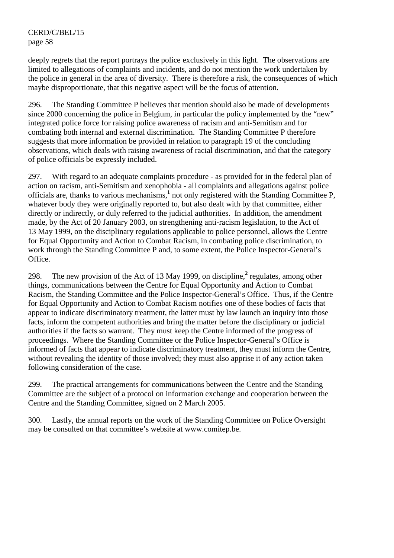deeply regrets that the report portrays the police exclusively in this light. The observations are limited to allegations of complaints and incidents, and do not mention the work undertaken by the police in general in the area of diversity. There is therefore a risk, the consequences of which maybe disproportionate, that this negative aspect will be the focus of attention.

296. The Standing Committee P believes that mention should also be made of developments since 2000 concerning the police in Belgium, in particular the policy implemented by the "new" integrated police force for raising police awareness of racism and anti-Semitism and for combating both internal and external discrimination. The Standing Committee P therefore suggests that more information be provided in relation to paragraph 19 of the concluding observations, which deals with raising awareness of racial discrimination, and that the category of police officials be expressly included.

297. With regard to an adequate complaints procedure - as provided for in the federal plan of action on racism, anti-Semitism and xenophobia - all complaints and allegations against police officials are, thanks to various mechanisms,**<sup>1</sup>** not only registered with the Standing Committee P, whatever body they were originally reported to, but also dealt with by that committee, either directly or indirectly, or duly referred to the judicial authorities. In addition, the amendment made, by the Act of 20 January 2003, on strengthening anti-racism legislation, to the Act of 13 May 1999, on the disciplinary regulations applicable to police personnel, allows the Centre for Equal Opportunity and Action to Combat Racism, in combating police discrimination, to work through the Standing Committee P and, to some extent, the Police Inspector-General's Office.

298. The new provision of the Act of 13 May 1999, on discipline,<sup>2</sup> regulates, among other things, communications between the Centre for Equal Opportunity and Action to Combat Racism, the Standing Committee and the Police Inspector-General's Office. Thus, if the Centre for Equal Opportunity and Action to Combat Racism notifies one of these bodies of facts that appear to indicate discriminatory treatment, the latter must by law launch an inquiry into those facts, inform the competent authorities and bring the matter before the disciplinary or judicial authorities if the facts so warrant. They must keep the Centre informed of the progress of proceedings. Where the Standing Committee or the Police Inspector-General's Office is informed of facts that appear to indicate discriminatory treatment, they must inform the Centre, without revealing the identity of those involved; they must also apprise it of any action taken following consideration of the case.

299. The practical arrangements for communications between the Centre and the Standing Committee are the subject of a protocol on information exchange and cooperation between the Centre and the Standing Committee, signed on 2 March 2005.

300. Lastly, the annual reports on the work of the Standing Committee on Police Oversight may be consulted on that committee's website at www.comitep.be.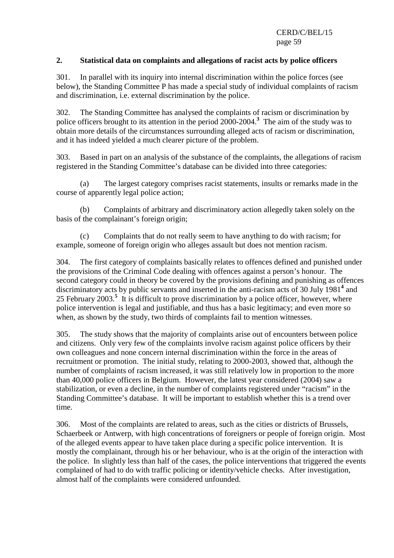# **2. Statistical data on complaints and allegations of racist acts by police officers**

301. In parallel with its inquiry into internal discrimination within the police forces (see below), the Standing Committee P has made a special study of individual complaints of racism and discrimination, i.e. external discrimination by the police.

302. The Standing Committee has analysed the complaints of racism or discrimination by police officers brought to its attention in the period 2000-2004.**<sup>3</sup>** The aim of the study was to obtain more details of the circumstances surrounding alleged acts of racism or discrimination, and it has indeed yielded a much clearer picture of the problem.

303. Based in part on an analysis of the substance of the complaints, the allegations of racism registered in the Standing Committee's database can be divided into three categories:

 (a) The largest category comprises racist statements, insults or remarks made in the course of apparently legal police action;

 (b) Complaints of arbitrary and discriminatory action allegedly taken solely on the basis of the complainant's foreign origin;

 (c) Complaints that do not really seem to have anything to do with racism; for example, someone of foreign origin who alleges assault but does not mention racism.

304. The first category of complaints basically relates to offences defined and punished under the provisions of the Criminal Code dealing with offences against a person's honour. The second category could in theory be covered by the provisions defining and punishing as offences discriminatory acts by public servants and inserted in the anti-racism acts of 30 July 1981<sup>4</sup> and 25 February 2003.<sup>5</sup> It is difficult to prove discrimination by a police officer, however, where police intervention is legal and justifiable, and thus has a basic legitimacy; and even more so when, as shown by the study, two thirds of complaints fail to mention witnesses.

305. The study shows that the majority of complaints arise out of encounters between police and citizens. Only very few of the complaints involve racism against police officers by their own colleagues and none concern internal discrimination within the force in the areas of recruitment or promotion. The initial study, relating to 2000-2003, showed that, although the number of complaints of racism increased, it was still relatively low in proportion to the more than 40,000 police officers in Belgium. However, the latest year considered (2004) saw a stabilization, or even a decline, in the number of complaints registered under "racism" in the Standing Committee's database. It will be important to establish whether this is a trend over time.

306. Most of the complaints are related to areas, such as the cities or districts of Brussels, Schaerbeek or Antwerp, with high concentrations of foreigners or people of foreign origin. Most of the alleged events appear to have taken place during a specific police intervention. It is mostly the complainant, through his or her behaviour, who is at the origin of the interaction with the police. In slightly less than half of the cases, the police interventions that triggered the events complained of had to do with traffic policing or identity/vehicle checks. After investigation, almost half of the complaints were considered unfounded.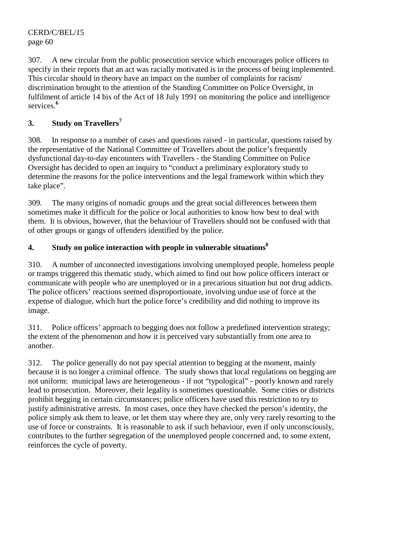307. A new circular from the public prosecution service which encourages police officers to specify in their reports that an act was racially motivated is in the process of being implemented. This circular should in theory have an impact on the number of complaints for racism/ discrimination brought to the attention of the Standing Committee on Police Oversight, in fulfilment of article 14 bis of the Act of 18 July 1991 on monitoring the police and intelligence services.**<sup>6</sup>**

# **3. Study on Travellers<sup>7</sup>**

308. In response to a number of cases and questions raised - in particular, questions raised by the representative of the National Committee of Travellers about the police's frequently dysfunctional day-to-day encounters with Travellers - the Standing Committee on Police Oversight has decided to open an inquiry to "conduct a preliminary exploratory study to determine the reasons for the police interventions and the legal framework within which they take place".

309. The many origins of nomadic groups and the great social differences between them sometimes make it difficult for the police or local authorities to know how best to deal with them. It is obvious, however, that the behaviour of Travellers should not be confused with that of other groups or gangs of offenders identified by the police.

# **4.** Study on police interaction with people in vulnerable situations<sup>8</sup>

310. A number of unconnected investigations involving unemployed people, homeless people or tramps triggered this thematic study, which aimed to find out how police officers interact or communicate with people who are unemployed or in a precarious situation but not drug addicts. The police officers' reactions seemed disproportionate, involving undue use of force at the expense of dialogue, which hurt the police force's credibility and did nothing to improve its image.

311. Police officers' approach to begging does not follow a predefined intervention strategy; the extent of the phenomenon and how it is perceived vary substantially from one area to another.

312. The police generally do not pay special attention to begging at the moment, mainly because it is no longer a criminal offence. The study shows that local regulations on begging are not uniform: municipal laws are heterogeneous - if not "typological" - poorly known and rarely lead to prosecution. Moreover, their legality is sometimes questionable. Some cities or districts prohibit begging in certain circumstances; police officers have used this restriction to try to justify administrative arrests. In most cases, once they have checked the person's identity, the police simply ask them to leave, or let them stay where they are, only very rarely resorting to the use of force or constraints. It is reasonable to ask if such behaviour, even if only unconsciously, contributes to the further segregation of the unemployed people concerned and, to some extent, reinforces the cycle of poverty.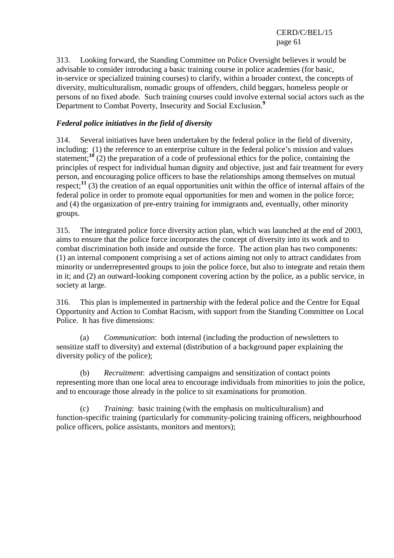313. Looking forward, the Standing Committee on Police Oversight believes it would be advisable to consider introducing a basic training course in police academies (for basic, in-service or specialized training courses) to clarify, within a broader context, the concepts of diversity, multiculturalism, nomadic groups of offenders, child beggars, homeless people or persons of no fixed abode. Such training courses could involve external social actors such as the Department to Combat Poverty, Insecurity and Social Exclusion.**<sup>9</sup>**

# *Federal police initiatives in the field of diversity*

314. Several initiatives have been undertaken by the federal police in the field of diversity, including: (1) the reference to an enterprise culture in the federal police's mission and values statement;<sup>10</sup> (2) the preparation of a code of professional ethics for the police, containing the principles of respect for individual human dignity and objective, just and fair treatment for every person, and encouraging police officers to base the relationships among themselves on mutual respect;<sup>11</sup> (3) the creation of an equal opportunities unit within the office of internal affairs of the federal police in order to promote equal opportunities for men and women in the police force; and (4) the organization of pre-entry training for immigrants and, eventually, other minority groups.

315. The integrated police force diversity action plan, which was launched at the end of 2003, aims to ensure that the police force incorporates the concept of diversity into its work and to combat discrimination both inside and outside the force. The action plan has two components: (1) an internal component comprising a set of actions aiming not only to attract candidates from minority or underrepresented groups to join the police force, but also to integrate and retain them in it; and (2) an outward-looking component covering action by the police, as a public service, in society at large.

316. This plan is implemented in partnership with the federal police and the Centre for Equal Opportunity and Action to Combat Racism, with support from the Standing Committee on Local Police. It has five dimensions:

 (a) *Communication*: both internal (including the production of newsletters to sensitize staff to diversity) and external (distribution of a background paper explaining the diversity policy of the police);

 (b) *Recruitment*: advertising campaigns and sensitization of contact points representing more than one local area to encourage individuals from minorities to join the police, and to encourage those already in the police to sit examinations for promotion.

 (c) *Training*: basic training (with the emphasis on multiculturalism) and function-specific training (particularly for community-policing training officers, neighbourhood police officers, police assistants, monitors and mentors);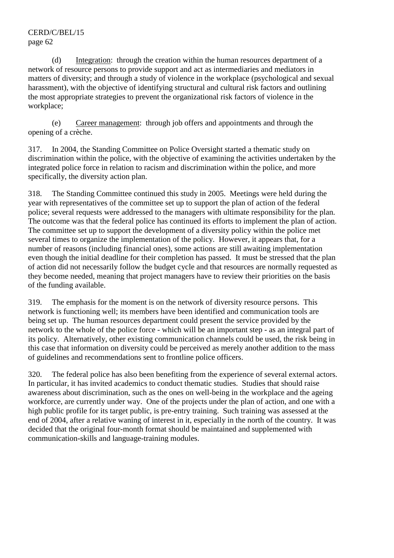(d) Integration: through the creation within the human resources department of a network of resource persons to provide support and act as intermediaries and mediators in matters of diversity; and through a study of violence in the workplace (psychological and sexual harassment), with the objective of identifying structural and cultural risk factors and outlining the most appropriate strategies to prevent the organizational risk factors of violence in the workplace;

 (e) Career management: through job offers and appointments and through the opening of a crèche.

317. In 2004, the Standing Committee on Police Oversight started a thematic study on discrimination within the police, with the objective of examining the activities undertaken by the integrated police force in relation to racism and discrimination within the police, and more specifically, the diversity action plan.

318. The Standing Committee continued this study in 2005. Meetings were held during the year with representatives of the committee set up to support the plan of action of the federal police; several requests were addressed to the managers with ultimate responsibility for the plan. The outcome was that the federal police has continued its efforts to implement the plan of action. The committee set up to support the development of a diversity policy within the police met several times to organize the implementation of the policy. However, it appears that, for a number of reasons (including financial ones), some actions are still awaiting implementation even though the initial deadline for their completion has passed. It must be stressed that the plan of action did not necessarily follow the budget cycle and that resources are normally requested as they become needed, meaning that project managers have to review their priorities on the basis of the funding available.

319. The emphasis for the moment is on the network of diversity resource persons. This network is functioning well; its members have been identified and communication tools are being set up. The human resources department could present the service provided by the network to the whole of the police force - which will be an important step - as an integral part of its policy. Alternatively, other existing communication channels could be used, the risk being in this case that information on diversity could be perceived as merely another addition to the mass of guidelines and recommendations sent to frontline police officers.

320. The federal police has also been benefiting from the experience of several external actors. In particular, it has invited academics to conduct thematic studies. Studies that should raise awareness about discrimination, such as the ones on well-being in the workplace and the ageing workforce, are currently under way. One of the projects under the plan of action, and one with a high public profile for its target public, is pre-entry training. Such training was assessed at the end of 2004, after a relative waning of interest in it, especially in the north of the country. It was decided that the original four-month format should be maintained and supplemented with communication-skills and language-training modules.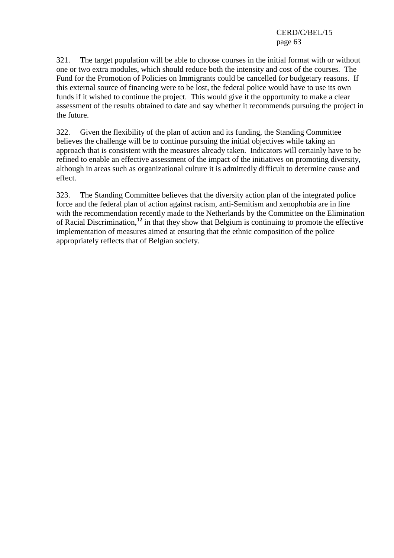321. The target population will be able to choose courses in the initial format with or without one or two extra modules, which should reduce both the intensity and cost of the courses. The Fund for the Promotion of Policies on Immigrants could be cancelled for budgetary reasons. If this external source of financing were to be lost, the federal police would have to use its own funds if it wished to continue the project. This would give it the opportunity to make a clear assessment of the results obtained to date and say whether it recommends pursuing the project in the future.

322. Given the flexibility of the plan of action and its funding, the Standing Committee believes the challenge will be to continue pursuing the initial objectives while taking an approach that is consistent with the measures already taken. Indicators will certainly have to be refined to enable an effective assessment of the impact of the initiatives on promoting diversity, although in areas such as organizational culture it is admittedly difficult to determine cause and effect.

323. The Standing Committee believes that the diversity action plan of the integrated police force and the federal plan of action against racism, anti-Semitism and xenophobia are in line with the recommendation recently made to the Netherlands by the Committee on the Elimination of Racial Discrimination,**<sup>12</sup>** in that they show that Belgium is continuing to promote the effective implementation of measures aimed at ensuring that the ethnic composition of the police appropriately reflects that of Belgian society.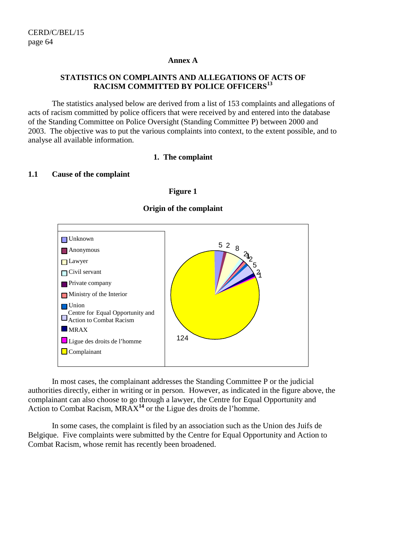#### **Annex A**

### **STATISTICS ON COMPLAINTS AND ALLEGATIONS OF ACTS OF RACISM COMMITTED BY POLICE OFFICERS<sup>13</sup>**

 The statistics analysed below are derived from a list of 153 complaints and allegations of acts of racism committed by police officers that were received by and entered into the database of the Standing Committee on Police Oversight (Standing Committee P) between 2000 and 2003. The objective was to put the various complaints into context, to the extent possible, and to analyse all available information.

#### **1. The complaint**

#### **1.1 Cause of the complaint**

**Figure 1** 



**Origin of the complaint** 

 In most cases, the complainant addresses the Standing Committee P or the judicial authorities directly, either in writing or in person. However, as indicated in the figure above, the complainant can also choose to go through a lawyer, the Centre for Equal Opportunity and Action to Combat Racism, MRAX**<sup>14</sup>** or the Ligue des droits de l'homme.

 In some cases, the complaint is filed by an association such as the Union des Juifs de Belgique. Five complaints were submitted by the Centre for Equal Opportunity and Action to Combat Racism, whose remit has recently been broadened.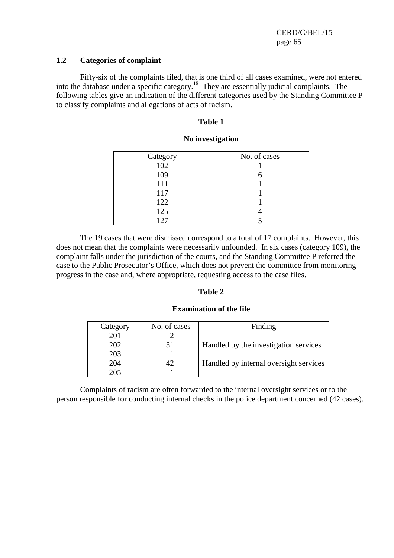#### **1.2 Categories of complaint**

 Fifty-six of the complaints filed, that is one third of all cases examined, were not entered into the database under a specific category.**<sup>15</sup>** They are essentially judicial complaints. The following tables give an indication of the different categories used by the Standing Committee P to classify complaints and allegations of acts of racism.

#### **Table 1**

| Category | No. of cases |
|----------|--------------|
| 102      |              |
| 109      |              |
| 111      |              |
| 117      |              |
| 122      |              |
| 125      |              |
| 127      |              |

#### **No investigation**

 The 19 cases that were dismissed correspond to a total of 17 complaints. However, this does not mean that the complaints were necessarily unfounded. In six cases (category 109), the complaint falls under the jurisdiction of the courts, and the Standing Committee P referred the case to the Public Prosecutor's Office, which does not prevent the committee from monitoring progress in the case and, where appropriate, requesting access to the case files.

#### **Table 2**

#### **Examination of the file**

| Category | No. of cases | Finding                                |
|----------|--------------|----------------------------------------|
| 201      |              |                                        |
| 202      |              | Handled by the investigation services  |
| 203      |              |                                        |
| 204      | 42           | Handled by internal oversight services |
| 205      |              |                                        |

 Complaints of racism are often forwarded to the internal oversight services or to the person responsible for conducting internal checks in the police department concerned (42 cases).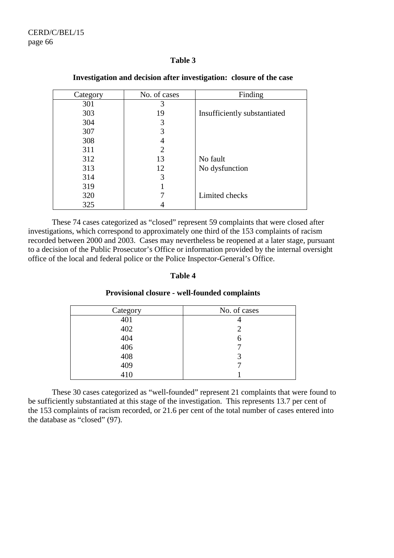#### **Table 3**

| Category | No. of cases | Finding                      |
|----------|--------------|------------------------------|
| 301      | 3            |                              |
| 303      | 19           | Insufficiently substantiated |
| 304      | 3            |                              |
| 307      | 3            |                              |
| 308      |              |                              |
| 311      | 2            |                              |
| 312      | 13           | No fault                     |
| 313      | 12           | No dysfunction               |
| 314      | 3            |                              |
| 319      |              |                              |
| 320      |              | Limited checks               |
| 325      |              |                              |

#### **Investigation and decision after investigation: closure of the case**

 These 74 cases categorized as "closed" represent 59 complaints that were closed after investigations, which correspond to approximately one third of the 153 complaints of racism recorded between 2000 and 2003. Cases may nevertheless be reopened at a later stage, pursuant to a decision of the Public Prosecutor's Office or information provided by the internal oversight office of the local and federal police or the Police Inspector-General's Office.

#### **Table 4**

#### **Provisional closure - well-founded complaints**

| Category | No. of cases |
|----------|--------------|
| 401      |              |
| 402      |              |
| 404      | h            |
| 406      |              |
| 408      |              |
| 409      |              |
| 410      |              |

 These 30 cases categorized as "well-founded" represent 21 complaints that were found to be sufficiently substantiated at this stage of the investigation. This represents 13.7 per cent of the 153 complaints of racism recorded, or 21.6 per cent of the total number of cases entered into the database as "closed" (97).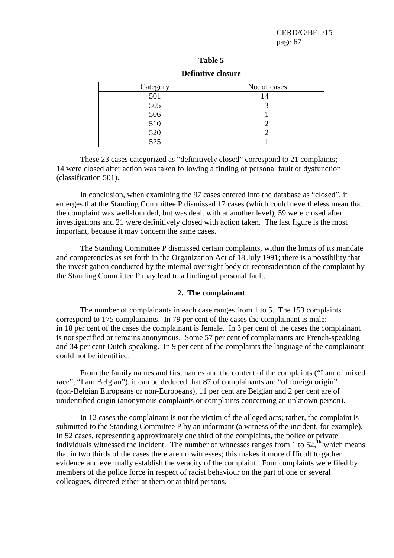| וח<br>ı<br>Я<br>u |  |
|-------------------|--|
|-------------------|--|

| Category          | No. of cases |
|-------------------|--------------|
| 501               | 14           |
| $\frac{505}{506}$ |              |
|                   |              |
| 510               |              |
| 520               |              |
| 525               |              |

# **Definitive closure**

 These 23 cases categorized as "definitively closed" correspond to 21 complaints; 14 were closed after action was taken following a finding of personal fault or dysfunction (classification 501).

 In conclusion, when examining the 97 cases entered into the database as "closed", it emerges that the Standing Committee P dismissed 17 cases (which could nevertheless mean that the complaint was well-founded, but was dealt with at another level), 59 were closed after investigations and 21 were definitively closed with action taken. The last figure is the most important, because it may concern the same cases.

 The Standing Committee P dismissed certain complaints, within the limits of its mandate and competencies as set forth in the Organization Act of 18 July 1991; there is a possibility that the investigation conducted by the internal oversight body or reconsideration of the complaint by the Standing Committee P may lead to a finding of personal fault.

#### **2. The complainant**

 The number of complainants in each case ranges from 1 to 5. The 153 complaints correspond to 175 complainants. In 79 per cent of the cases the complainant is male; in 18 per cent of the cases the complainant is female. In 3 per cent of the cases the complainant is not specified or remains anonymous. Some 57 per cent of complainants are French-speaking and 34 per cent Dutch-speaking. In 9 per cent of the complaints the language of the complainant could not be identified.

 From the family names and first names and the content of the complaints ("I am of mixed race", "I am Belgian"), it can be deduced that 87 of complainants are "of foreign origin" (non-Belgian Europeans or non-Europeans), 11 per cent are Belgian and 2 per cent are of unidentified origin (anonymous complaints or complaints concerning an unknown person).

 In 12 cases the complainant is not the victim of the alleged acts; rather, the complaint is submitted to the Standing Committee P by an informant (a witness of the incident, for example). In 52 cases, representing approximately one third of the complaints, the police or private individuals witnessed the incident. The number of witnesses ranges from 1 to 52,**<sup>16</sup>** which means that in two thirds of the cases there are no witnesses; this makes it more difficult to gather evidence and eventually establish the veracity of the complaint. Four complaints were filed by members of the police force in respect of racist behaviour on the part of one or several colleagues, directed either at them or at third persons.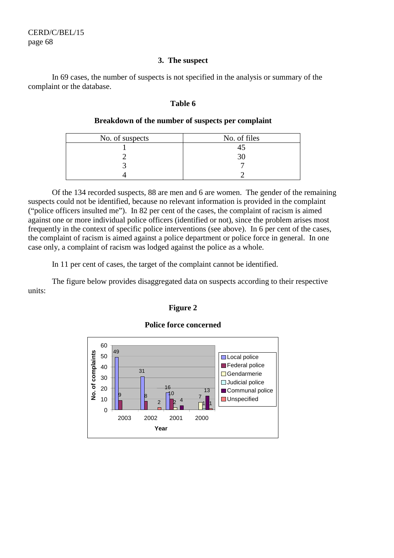#### **3. The suspect**

 In 69 cases, the number of suspects is not specified in the analysis or summary of the complaint or the database.

#### **Table 6**

### **Breakdown of the number of suspects per complaint**

| No. of suspects | No. of files |
|-----------------|--------------|
|                 |              |
|                 |              |
|                 |              |
|                 |              |

 Of the 134 recorded suspects, 88 are men and 6 are women. The gender of the remaining suspects could not be identified, because no relevant information is provided in the complaint ("police officers insulted me"). In 82 per cent of the cases, the complaint of racism is aimed against one or more individual police officers (identified or not), since the problem arises most frequently in the context of specific police interventions (see above). In 6 per cent of the cases, the complaint of racism is aimed against a police department or police force in general. In one case only, a complaint of racism was lodged against the police as a whole.

In 11 per cent of cases, the target of the complaint cannot be identified.

 The figure below provides disaggregated data on suspects according to their respective units:

#### **Figure 2**

**Police force concerned** 

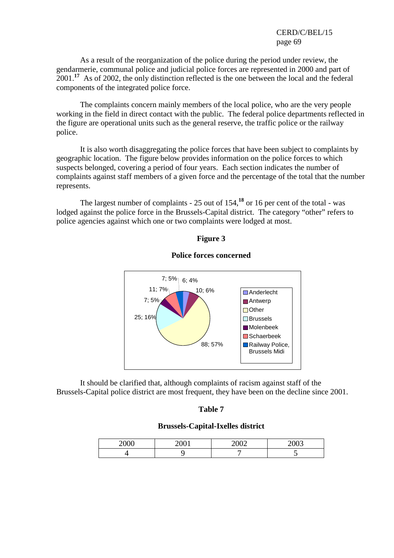As a result of the reorganization of the police during the period under review, the gendarmerie, communal police and judicial police forces are represented in 2000 and part of 2001.**<sup>17</sup>** As of 2002, the only distinction reflected is the one between the local and the federal components of the integrated police force.

 The complaints concern mainly members of the local police, who are the very people working in the field in direct contact with the public. The federal police departments reflected in the figure are operational units such as the general reserve, the traffic police or the railway police.

 It is also worth disaggregating the police forces that have been subject to complaints by geographic location. The figure below provides information on the police forces to which suspects belonged, covering a period of four years. Each section indicates the number of complaints against staff members of a given force and the percentage of the total that the number represents.

 The largest number of complaints - 25 out of 154,**<sup>18</sup>** or 16 per cent of the total - was lodged against the police force in the Brussels-Capital district. The category "other" refers to police agencies against which one or two complaints were lodged at most.

#### **Figure 3**



#### **Police forces concerned**

 It should be clarified that, although complaints of racism against staff of the Brussels-Capital police district are most frequent, they have been on the decline since 2001.

#### **Table 7**

#### **Brussels-Capital-Ixelles district**

| 2000 | 2001                | 2002             | ാലാ |
|------|---------------------|------------------|-----|
|      | $\sim$ 0 $\sigma$ 1 | $\sim$ vv $\sim$ | ∠∪∪ |
|      |                     |                  |     |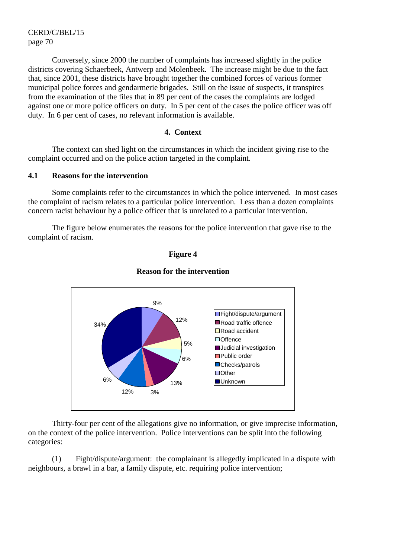Conversely, since 2000 the number of complaints has increased slightly in the police districts covering Schaerbeek, Antwerp and Molenbeek. The increase might be due to the fact that, since 2001, these districts have brought together the combined forces of various former municipal police forces and gendarmerie brigades. Still on the issue of suspects, it transpires from the examination of the files that in 89 per cent of the cases the complaints are lodged against one or more police officers on duty. In 5 per cent of the cases the police officer was off duty. In 6 per cent of cases, no relevant information is available.

#### **4. Context**

 The context can shed light on the circumstances in which the incident giving rise to the complaint occurred and on the police action targeted in the complaint.

#### **4.1 Reasons for the intervention**

 Some complaints refer to the circumstances in which the police intervened. In most cases the complaint of racism relates to a particular police intervention. Less than a dozen complaints concern racist behaviour by a police officer that is unrelated to a particular intervention.

 The figure below enumerates the reasons for the police intervention that gave rise to the complaint of racism.



#### **Reason for the intervention**

**Figure 4** 

 Thirty-four per cent of the allegations give no information, or give imprecise information, on the context of the police intervention. Police interventions can be split into the following categories:

 (1) Fight/dispute/argument: the complainant is allegedly implicated in a dispute with neighbours, a brawl in a bar, a family dispute, etc. requiring police intervention;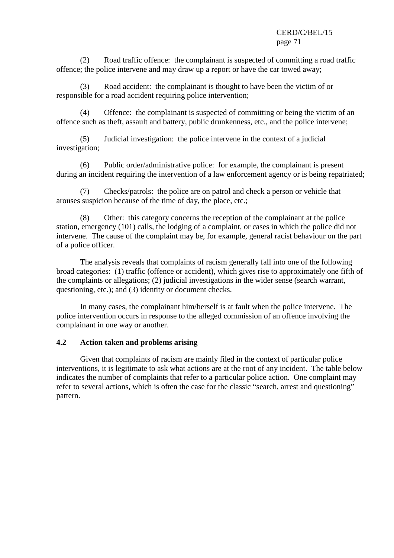(2) Road traffic offence: the complainant is suspected of committing a road traffic offence; the police intervene and may draw up a report or have the car towed away;

 (3) Road accident: the complainant is thought to have been the victim of or responsible for a road accident requiring police intervention;

 (4) Offence: the complainant is suspected of committing or being the victim of an offence such as theft, assault and battery, public drunkenness, etc., and the police intervene;

 (5) Judicial investigation: the police intervene in the context of a judicial investigation;

 (6) Public order/administrative police: for example, the complainant is present during an incident requiring the intervention of a law enforcement agency or is being repatriated;

 (7) Checks/patrols: the police are on patrol and check a person or vehicle that arouses suspicion because of the time of day, the place, etc.;

 (8) Other: this category concerns the reception of the complainant at the police station, emergency (101) calls, the lodging of a complaint, or cases in which the police did not intervene. The cause of the complaint may be, for example, general racist behaviour on the part of a police officer.

 The analysis reveals that complaints of racism generally fall into one of the following broad categories: (1) traffic (offence or accident), which gives rise to approximately one fifth of the complaints or allegations; (2) judicial investigations in the wider sense (search warrant, questioning, etc.); and (3) identity or document checks.

 In many cases, the complainant him/herself is at fault when the police intervene. The police intervention occurs in response to the alleged commission of an offence involving the complainant in one way or another.

# **4.2 Action taken and problems arising**

 Given that complaints of racism are mainly filed in the context of particular police interventions, it is legitimate to ask what actions are at the root of any incident. The table below indicates the number of complaints that refer to a particular police action. One complaint may refer to several actions, which is often the case for the classic "search, arrest and questioning" pattern.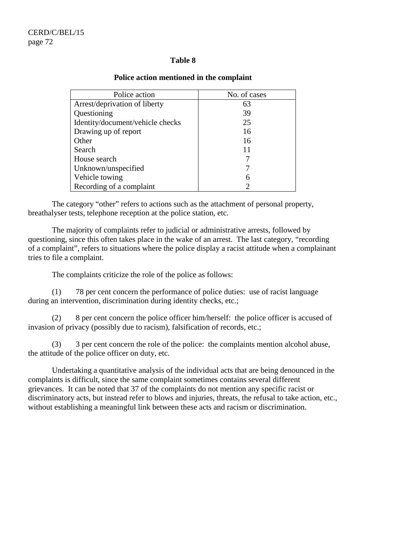### **Table 8**

| Police action                    | No. of cases |
|----------------------------------|--------------|
| Arrest/deprivation of liberty    | 63           |
| Questioning                      | 39           |
| Identity/document/vehicle checks | 25           |
| Drawing up of report             | 16           |
| Other                            | 16           |
| Search                           | 11           |
| House search                     |              |
| Unknown/unspecified              |              |
| Vehicle towing                   | 6            |
| Recording of a complaint         | 2            |

### **Police action mentioned in the complaint**

 The category "other" refers to actions such as the attachment of personal property, breathalyser tests, telephone reception at the police station, etc.

 The majority of complaints refer to judicial or administrative arrests, followed by questioning, since this often takes place in the wake of an arrest. The last category, "recording of a complaint", refers to situations where the police display a racist attitude when a complainant tries to file a complaint.

The complaints criticize the role of the police as follows:

 (1) 78 per cent concern the performance of police duties: use of racist language during an intervention, discrimination during identity checks, etc.;

 (2) 8 per cent concern the police officer him/herself: the police officer is accused of invasion of privacy (possibly due to racism), falsification of records, etc.;

 (3) 3 per cent concern the role of the police: the complaints mention alcohol abuse, the attitude of the police officer on duty, etc.

 Undertaking a quantitative analysis of the individual acts that are being denounced in the complaints is difficult, since the same complaint sometimes contains several different grievances. It can be noted that 37 of the complaints do not mention any specific racist or discriminatory acts, but instead refer to blows and injuries, threats, the refusal to take action, etc., without establishing a meaningful link between these acts and racism or discrimination.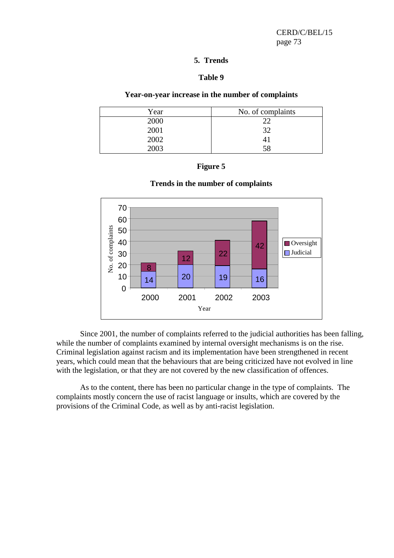### **5. Trends**

# **Table 9**

# **Year-on-year increase in the number of complaints**

| Year | No. of complaints |
|------|-------------------|
| 2000 |                   |
| 2001 | つつ                |
| 2002 | 41                |
| 2003 | 58                |







 Since 2001, the number of complaints referred to the judicial authorities has been falling, while the number of complaints examined by internal oversight mechanisms is on the rise. Criminal legislation against racism and its implementation have been strengthened in recent years, which could mean that the behaviours that are being criticized have not evolved in line with the legislation, or that they are not covered by the new classification of offences.

 As to the content, there has been no particular change in the type of complaints. The complaints mostly concern the use of racist language or insults, which are covered by the provisions of the Criminal Code, as well as by anti-racist legislation.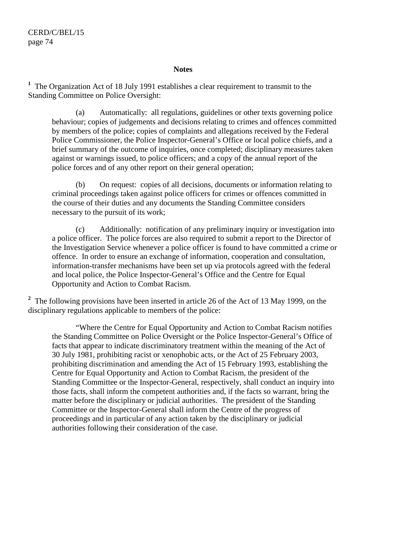#### **Notes**

<sup>1</sup> The Organization Act of 18 July 1991 establishes a clear requirement to transmit to the Standing Committee on Police Oversight:

 (a) Automatically: all regulations, guidelines or other texts governing police behaviour; copies of judgements and decisions relating to crimes and offences committed by members of the police; copies of complaints and allegations received by the Federal Police Commissioner, the Police Inspector-General's Office or local police chiefs, and a brief summary of the outcome of inquiries, once completed; disciplinary measures taken against or warnings issued, to police officers; and a copy of the annual report of the police forces and of any other report on their general operation;

 (b) On request: copies of all decisions, documents or information relating to criminal proceedings taken against police officers for crimes or offences committed in the course of their duties and any documents the Standing Committee considers necessary to the pursuit of its work;

 (c) Additionally: notification of any preliminary inquiry or investigation into a police officer. The police forces are also required to submit a report to the Director of the Investigation Service whenever a police officer is found to have committed a crime or offence. In order to ensure an exchange of information, cooperation and consultation, information-transfer mechanisms have been set up via protocols agreed with the federal and local police, the Police Inspector-General's Office and the Centre for Equal Opportunity and Action to Combat Racism.

<sup>2</sup> The following provisions have been inserted in article 26 of the Act of 13 May 1999, on the disciplinary regulations applicable to members of the police:

 "Where the Centre for Equal Opportunity and Action to Combat Racism notifies the Standing Committee on Police Oversight or the Police Inspector-General's Office of facts that appear to indicate discriminatory treatment within the meaning of the Act of 30 July 1981, prohibiting racist or xenophobic acts, or the Act of 25 February 2003, prohibiting discrimination and amending the Act of 15 February 1993, establishing the Centre for Equal Opportunity and Action to Combat Racism, the president of the Standing Committee or the Inspector-General, respectively, shall conduct an inquiry into those facts, shall inform the competent authorities and, if the facts so warrant, bring the matter before the disciplinary or judicial authorities. The president of the Standing Committee or the Inspector-General shall inform the Centre of the progress of proceedings and in particular of any action taken by the disciplinary or judicial authorities following their consideration of the case.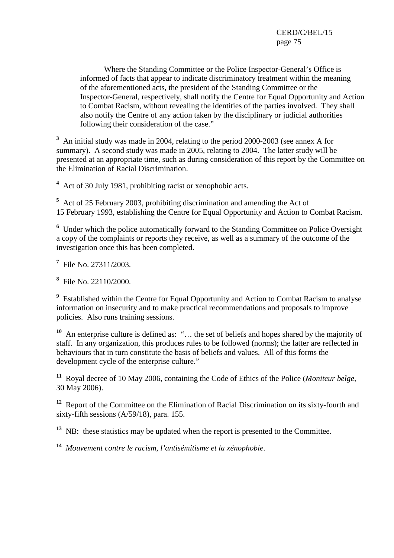Where the Standing Committee or the Police Inspector-General's Office is informed of facts that appear to indicate discriminatory treatment within the meaning of the aforementioned acts, the president of the Standing Committee or the Inspector-General, respectively, shall notify the Centre for Equal Opportunity and Action to Combat Racism, without revealing the identities of the parties involved. They shall also notify the Centre of any action taken by the disciplinary or judicial authorities following their consideration of the case."

<sup>3</sup> An initial study was made in 2004, relating to the period 2000-2003 (see annex A for summary). A second study was made in 2005, relating to 2004. The latter study will be presented at an appropriate time, such as during consideration of this report by the Committee on the Elimination of Racial Discrimination.

**4** Act of 30 July 1981, prohibiting racist or xenophobic acts.

**5** Act of 25 February 2003, prohibiting discrimination and amending the Act of 15 February 1993, establishing the Centre for Equal Opportunity and Action to Combat Racism.

<sup>6</sup> Under which the police automatically forward to the Standing Committee on Police Oversight a copy of the complaints or reports they receive, as well as a summary of the outcome of the investigation once this has been completed.

**7** File No. 27311/2003.

**8** File No. 22110/2000.

<sup>9</sup> Established within the Centre for Equal Opportunity and Action to Combat Racism to analyse information on insecurity and to make practical recommendations and proposals to improve policies. Also runs training sessions.

**<sup>10</sup>** An enterprise culture is defined as: "… the set of beliefs and hopes shared by the majority of staff. In any organization, this produces rules to be followed (norms); the latter are reflected in behaviours that in turn constitute the basis of beliefs and values. All of this forms the development cycle of the enterprise culture."

**<sup>11</sup>** Royal decree of 10 May 2006, containing the Code of Ethics of the Police (*Moniteur belge*, 30 May 2006).

**<sup>12</sup>** Report of the Committee on the Elimination of Racial Discrimination on its sixty-fourth and sixty-fifth sessions (A/59/18), para. 155.

**<sup>13</sup>** NB: these statistics may be updated when the report is presented to the Committee.

**<sup>14</sup>** *Mouvement contre le racism, l'antisémitisme et la xénophobie*.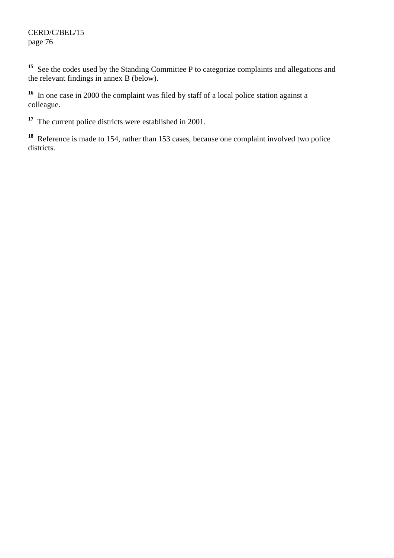<sup>15</sup> See the codes used by the Standing Committee P to categorize complaints and allegations and the relevant findings in annex B (below).

**<sup>16</sup>** In one case in 2000 the complaint was filed by staff of a local police station against a colleague.

<sup>17</sup> The current police districts were established in 2001.

**<sup>18</sup>** Reference is made to 154, rather than 153 cases, because one complaint involved two police districts.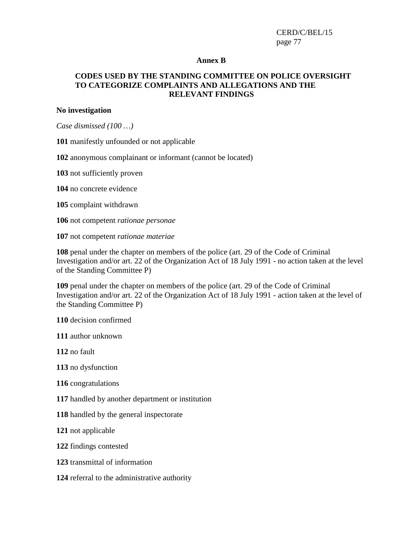#### **Annex B**

# **CODES USED BY THE STANDING COMMITTEE ON POLICE OVERSIGHT TO CATEGORIZE COMPLAINTS AND ALLEGATIONS AND THE RELEVANT FINDINGS**

#### **No investigation**

*Case dismissed (100 …)* 

manifestly unfounded or not applicable

anonymous complainant or informant (cannot be located)

not sufficiently proven

no concrete evidence

complaint withdrawn

not competent *rationae personae*

not competent *rationae materiae*

 penal under the chapter on members of the police (art. 29 of the Code of Criminal Investigation and/or art. 22 of the Organization Act of 18 July 1991 - no action taken at the level of the Standing Committee P)

 penal under the chapter on members of the police (art. 29 of the Code of Criminal Investigation and/or art. 22 of the Organization Act of 18 July 1991 - action taken at the level of the Standing Committee P)

decision confirmed

author unknown

no fault

no dysfunction

congratulations

handled by another department or institution

handled by the general inspectorate

not applicable

findings contested

transmittal of information

referral to the administrative authority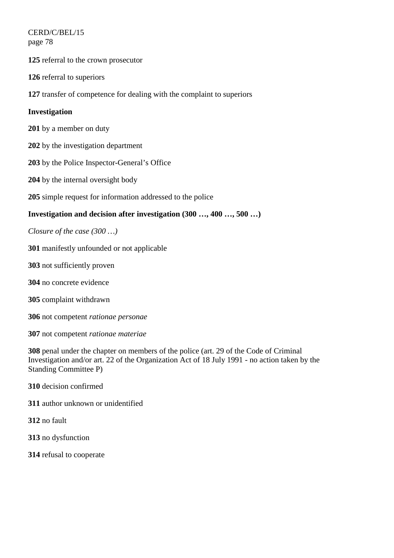CERD/C/BEL/15 page 78

referral to the crown prosecutor

referral to superiors

transfer of competence for dealing with the complaint to superiors

# **Investigation**

- by a member on duty
- by the investigation department
- by the Police Inspector-General's Office
- by the internal oversight body
- simple request for information addressed to the police

# **Investigation and decision after investigation (300 …, 400 …, 500 …)**

*Closure of the case (300 …)* 

- manifestly unfounded or not applicable
- not sufficiently proven
- no concrete evidence
- complaint withdrawn
- not competent *rationae personae*
- not competent *rationae materiae*

 penal under the chapter on members of the police (art. 29 of the Code of Criminal Investigation and/or art. 22 of the Organization Act of 18 July 1991 - no action taken by the Standing Committee P)

- decision confirmed
- author unknown or unidentified
- no fault
- no dysfunction
- refusal to cooperate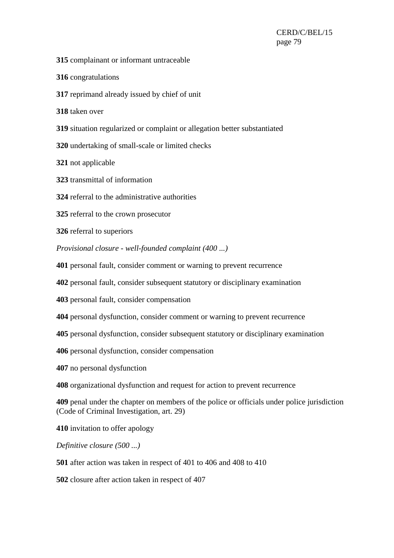- complainant or informant untraceable
- congratulations
- reprimand already issued by chief of unit
- taken over
- situation regularized or complaint or allegation better substantiated
- undertaking of small-scale or limited checks
- not applicable
- transmittal of information
- referral to the administrative authorities
- referral to the crown prosecutor
- referral to superiors
- *Provisional closure well-founded complaint (400 ...)*
- personal fault, consider comment or warning to prevent recurrence
- personal fault, consider subsequent statutory or disciplinary examination
- personal fault, consider compensation
- personal dysfunction, consider comment or warning to prevent recurrence
- personal dysfunction, consider subsequent statutory or disciplinary examination
- personal dysfunction, consider compensation
- no personal dysfunction
- organizational dysfunction and request for action to prevent recurrence
- penal under the chapter on members of the police or officials under police jurisdiction (Code of Criminal Investigation, art. 29)
- invitation to offer apology
- *Definitive closure (500 ...)*
- after action was taken in respect of 401 to 406 and 408 to 410
- closure after action taken in respect of 407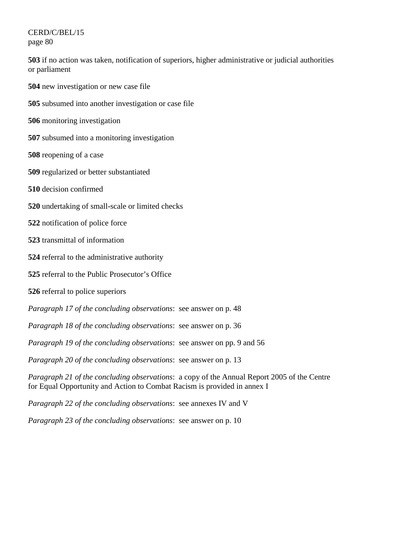CERD/C/BEL/15 page 80

**503** if no action was taken, notification of superiors, higher administrative or judicial authorities or parliament

- **504** new investigation or new case file
- **505** subsumed into another investigation or case file
- **506** monitoring investigation
- **507** subsumed into a monitoring investigation
- **508** reopening of a case
- **509** regularized or better substantiated
- **510** decision confirmed
- **520** undertaking of small-scale or limited checks
- **522** notification of police force
- **523** transmittal of information
- **524** referral to the administrative authority
- **525** referral to the Public Prosecutor's Office
- **526** referral to police superiors
- *Paragraph 17 of the concluding observations*: see answer on p. 48
- *Paragraph 18 of the concluding observations*: see answer on p. 36
- *Paragraph 19 of the concluding observations*: see answer on pp. 9 and 56
- *Paragraph 20 of the concluding observations*: see answer on p. 13

*Paragraph 21 of the concluding observations*: a copy of the Annual Report 2005 of the Centre for Equal Opportunity and Action to Combat Racism is provided in annex I

- *Paragraph 22 of the concluding observations*: see annexes IV and V
- *Paragraph 23 of the concluding observations*: see answer on p. 10